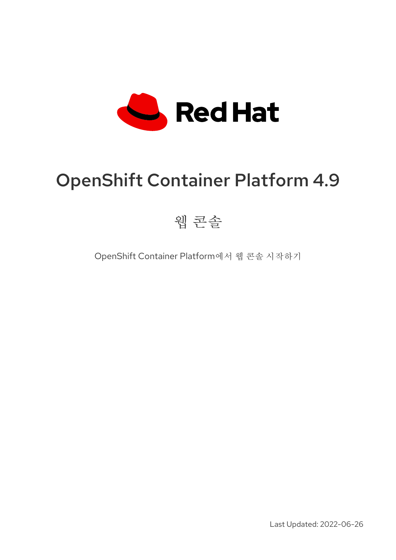

# OpenShift Container Platform 4.9



OpenShift Container Platform에서 웹 콘솔 시작하기

Last Updated: 2022-06-26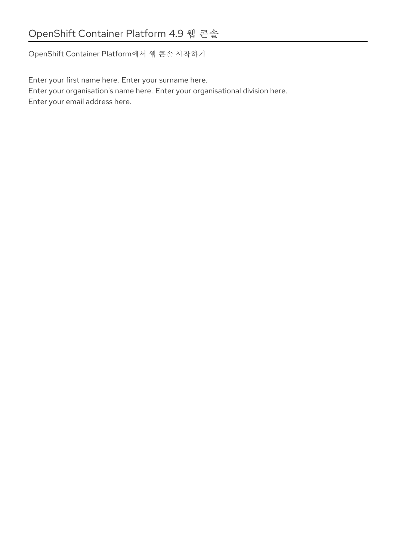OpenShift Container Platform에서 웹 콘솔 시작하기

Enter your first name here. Enter your surname here. Enter your organisation's name here. Enter your organisational division here. Enter your email address here.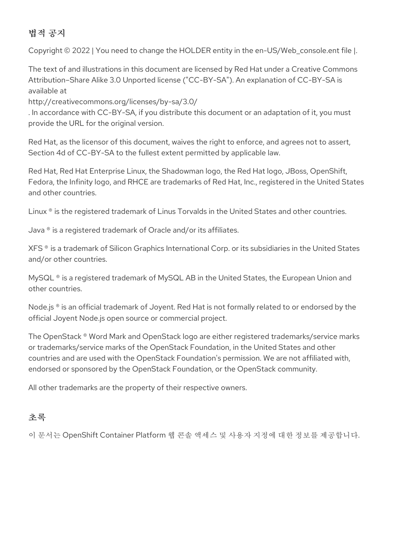# 법적 공지

Copyright © 2022 | You need to change the HOLDER entity in the en-US/Web\_console.ent file |.

The text of and illustrations in this document are licensed by Red Hat under a Creative Commons Attribution–Share Alike 3.0 Unported license ("CC-BY-SA"). An explanation of CC-BY-SA is available at

http://creativecommons.org/licenses/by-sa/3.0/

. In accordance with CC-BY-SA, if you distribute this document or an adaptation of it, you must provide the URL for the original version.

Red Hat, as the licensor of this document, waives the right to enforce, and agrees not to assert, Section 4d of CC-BY-SA to the fullest extent permitted by applicable law.

Red Hat, Red Hat Enterprise Linux, the Shadowman logo, the Red Hat logo, JBoss, OpenShift, Fedora, the Infinity logo, and RHCE are trademarks of Red Hat, Inc., registered in the United States and other countries.

Linux ® is the registered trademark of Linus Torvalds in the United States and other countries.

Java ® is a registered trademark of Oracle and/or its affiliates.

XFS ® is a trademark of Silicon Graphics International Corp. or its subsidiaries in the United States and/or other countries.

MySQL<sup>®</sup> is a registered trademark of MySQL AB in the United States, the European Union and other countries.

Node.js ® is an official trademark of Joyent. Red Hat is not formally related to or endorsed by the official Joyent Node.js open source or commercial project.

The OpenStack ® Word Mark and OpenStack logo are either registered trademarks/service marks or trademarks/service marks of the OpenStack Foundation, in the United States and other countries and are used with the OpenStack Foundation's permission. We are not affiliated with, endorsed or sponsored by the OpenStack Foundation, or the OpenStack community.

All other trademarks are the property of their respective owners.

# 초록

이 문서는 OpenShift Container Platform 웹 콘솔 액세스 및 사용자 지정에 대한 정보를 제공합니다.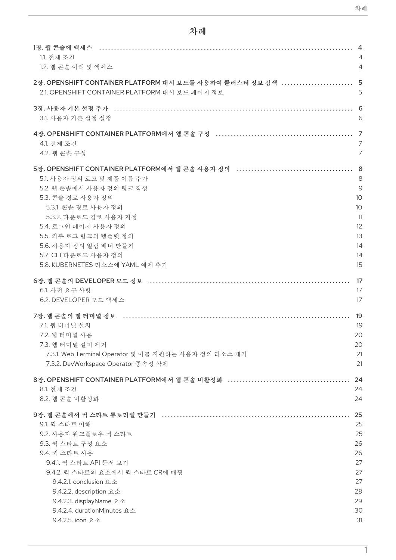# 차례

| 1.1. 전제 조건<br>1.2. 웹 콘솔 이해 및 액세스                                                                                                                                                                                                                                           | $\overline{4}$<br>4                                                  |
|----------------------------------------------------------------------------------------------------------------------------------------------------------------------------------------------------------------------------------------------------------------------------|----------------------------------------------------------------------|
| 2장. OPENSHIFT CONTAINER PLATFORM 대시 보드를 사용하여 클러스터 정보 검색  5<br>2.1. OPENSHIFT CONTAINER PLATFORM 대시 보드 페이지 정보                                                                                                                                                               | 5                                                                    |
| 3.1. 사용자 기본 설정 설정                                                                                                                                                                                                                                                          | 6<br>6                                                               |
| 4.1. 전제 조건<br>4.2. 웹 콘솔 구성                                                                                                                                                                                                                                                 | $\overline{7}$<br>$\overline{7}$                                     |
| 5.1. 사용자 정의 로고 및 제품 이름 추가<br>5.2. 웹 콘솔에서 사용자 정의 링크 작성<br>5.3. 콘솔 경로 사용자 정의<br>5.3.1. 콘솔 경로 사용자 정의<br>5.3.2. 다운로드 경로 사용자 지정<br>5.4. 로그인 페이지 사용자 정의<br>5.5. 외부 로그 링크의 템플릿 정의<br>5.6. 사용자 정의 알림 배너 만들기<br>5.7. CLI 다운로드 사용자 정의<br>5.8. KUBERNETES 리소스에 YAML 예제 추가             | 8<br>9<br>10<br>10<br>11<br>12<br>13<br>14<br>14<br>15               |
| 6.1. 사전 요구 사항<br>6.2. DEVELOPER 모드 액세스                                                                                                                                                                                                                                     | 17<br>17                                                             |
| 7.1. 웹 터미널 설치<br>7.2. 웹 터미널 사용<br>7.3. 웹 터미널 설치 제거<br>7.3.1. Web Terminal Operator 및 이를 지원하는 사용자 정의 리소스 제거<br>7.3.2. DevWorkspace Operator 종속성 삭제                                                                                                                          | 19<br>19<br>20<br>20<br>21<br>21                                     |
| 8.1. 전제 조건<br>8.2. 웹 콘솔 비활성화                                                                                                                                                                                                                                               | 24<br>24<br>24                                                       |
| 9.1. 퀵 스타트 이해<br>9.2. 사용자 워크플로우 퀵 스타트<br>9.3. 퀵 스타트 구성 요소<br>9.4. 퀵 스타트 사용<br>9.4.1. 퀵 스타트 API 문서 보기<br>9.4.2. 퀵 스타트의 요소에서 퀵 스타트 CR에 매핑<br>9.4.2.1. conclusion 요소<br>9.4.2.2. description 요소<br>9.4.2.3. displayName 요소<br>9.4.2.4. durationMinutes 요소<br>9.4.2.5. icon 요소 | 25<br>25<br>25<br>26<br>26<br>27<br>27<br>27<br>28<br>29<br>30<br>31 |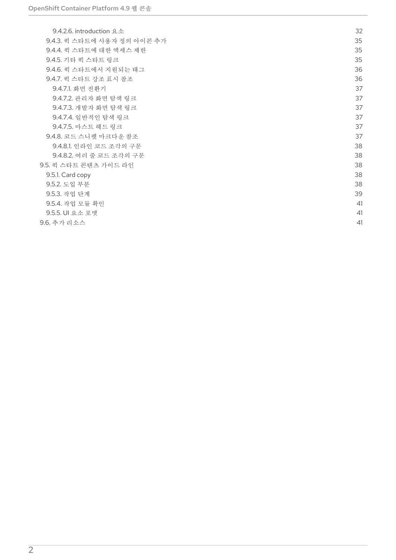| 9.4.2.6. introduction 요소    | 32 |
|-----------------------------|----|
| 9.4.3. 퀵 스타트에 사용자 정의 아이콘 추가 | 35 |
| 9.4.4. 퀵 스타트에 대한 액세스 제한     | 35 |
| 9.4.5. 기타 퀵 스타트 링크          | 35 |
| 9.4.6. 퀵 스타트에서 지원되는 태그      | 36 |
| 9.4.7. 퀵 스타트 강조 표시 참조       | 36 |
| 9.4.7.1. 화면 전환기             | 37 |
| 9.4.7.2. 관리자 화면 탐색 링크       | 37 |
| 9.4.7.3. 개발자 화면 탐색 링크       | 37 |
| 9.4.7.4. 일반적인 탐색 링크         | 37 |
| 9.4.7.5. 마스트 헤드 링크          | 37 |
| 9.4.8. 코드 스니펫 마크다운 참조       | 37 |
| 9.4.8.1. 인라인 코드 조각의 구문      | 38 |
| 9.4.8.2. 여러 줄 코드 조각의 구문     | 38 |
| 9.5. 퀵 스타트 콘텐츠 가이드 라인       | 38 |
| 9.5.1. Card copy            | 38 |
| 9.5.2. 도입 부분                | 38 |
| 9.5.3. 작업 단계                | 39 |
| 9.5.4. 작업 모듈 확인             | 41 |
| 9.5.5. UI 요소 포맷             | 41 |
| 9.6. 추가 리소스                 | 41 |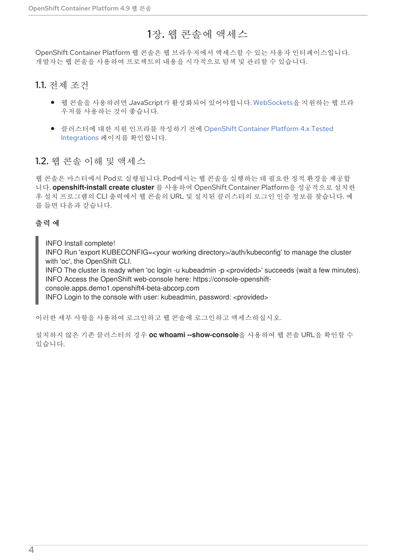# 1장. 웹 콘솔에 액세스

<span id="page-7-0"></span>OpenShift Container Platform 웹 콘솔은 웹 브라우저에서 액세스할 수 있는 사용자 인터페이스입니다. 개발자는 웹 콘솔을 사용하여 프로젝트의 내용을 시각적으로 탐색 및 관리할 수 있습니다.

<span id="page-7-1"></span>1.1. 전제 조건

- 웹 콘솔을 사용하려면 JavaScript가 활성화되어 있어야합니다. [WebSockets](http://caniuse.com/#feat=websockets)을 지원하는 웹 브라 우저를 사용하는 것이 좋습니다.
- 클러스터에 대한 지원 인프라를 작성하기 전에 OpenShift Container Platform 4.x Tested [Integrations](https://access.redhat.com/articles/4128421) 페이지를 확인합니다.

# <span id="page-7-2"></span>1.2. 웹 콘솔 이해 및 액세스

웹 콘솔은 마스터에서 Pod로 실행됩니다. Pod에서는 웹 콘솔을 실행하는 데 필요한 정적 환경을 제공합 니다. **openshift-install create cluster** 를 사용하여 OpenShift Container Platform을 성공적으로 설치한 후 설치 프로그램의 CLI 출력에서 웹 콘솔의 URL 및 설치된 클러스터의 로그인 인증 정보를 찾습니다. 예 를 들면 다음과 같습니다.

## 출력 예

INFO Install complete!

INFO Run 'export KUBECONFIG=<your working directory>/auth/kubeconfig' to manage the cluster with 'oc', the OpenShift CLI.

INFO The cluster is ready when 'oc login -u kubeadmin -p <provided>' succeeds (wait a few minutes). INFO Access the OpenShift web-console here: https://console-openshift-

console.apps.demo1.openshift4-beta-abcorp.com

INFO Login to the console with user: kubeadmin, password: <provided>

이러한 세부 사항을 사용하여 로그인하고 웹 콘솔에 로그인하고 액세스하십시오.

설치하지 않은 기존 클러스터의 경우 **oc whoami --show-console**을 사용하여 웹 콘솔 URL을 확인할 수 있습니다.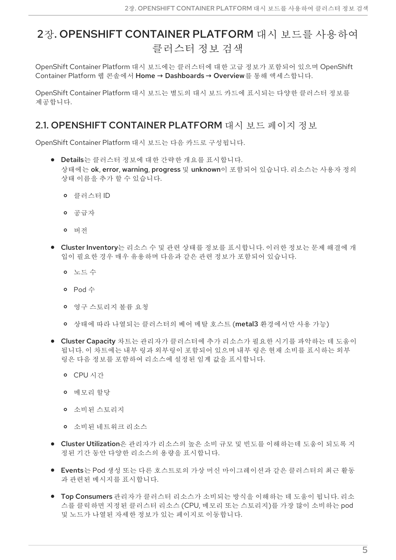# <span id="page-8-0"></span>2장. OPENSHIFT CONTAINER PLATFORM 대시 보드를 사용하여 클러스터 정보 검색

OpenShift Container Platform 대시 보드에는 클러스터에 대한 고급 정보가 포함되어 있으며 OpenShift Container Platform 웹 콘솔에서 Home → Dashboards → Overview를 통해 액세스합니다.

OpenShift Container Platform 대시 보드는 별도의 대시 보드 카드에 표시되는 다양한 클러스터 정보를 제공합니다.

# <span id="page-8-1"></span>2.1. OPENSHIFT CONTAINER PLATFORM 대시 보드 페이지 정보

OpenShift Container Platform 대시 보드는 다음 카드로 구성됩니다.

- Details는 클러스터 정보에 대한 간략한 개요를 표시합니다. 상태에는 ok, error, warning, progress 및 unknown이 포함되어 있습니다. 리소스는 사용자 정의 상태 이름을 추가 할 수 있습니다.
	- 클러스터 ID
	- 공급자
	- 이 버전
- Cluster Inventory는 리소스 수 및 관련 상태를 정보를 표시합니다. 이러한 정보는 문제 해결에 개 입이 필요한 경우 매우 유용하며 다음과 같은 관련 정보가 포함되어 있습니다.
	- 노드 수
	- Pod 수
	- 영구 스토리지 볼륨 요청
	- 상태에 따라 나열되는 클러스터의 베어 메탈 호스트 (metal3 환경에서만 사용 가능)
- Cluster Capacity 차트는 관리자가 클러스터에 추가 리소스가 필요한 시기를 파악하는 데 도움이 됩니다. 이 차트에는 내부 링과 외부링이 포함되어 있으며 내부 링은 현재 소비를 표시하는 외부 링은 다음 정보를 포함하여 리소스에 설정된 임계 값을 표시합니다.
	- CPU 시간
	- 메모리 할당
	- 소비된 스토리지
	- 소비된 네트워크 리소스
- Cluster Utilization은 관리자가 리소스의 높은 소비 규모 및 빈도를 이해하는데 도움이 되도록 지 정된 기간 동안 다양한 리소스의 용량을 표시합니다.
- Events는 Pod 생성 또는 다른 호스트로의 가상 머신 마이그레이션과 같은 클러스터의 최근 활동 과 관련된 메시지를 표시합니다.
- Top Consumers 관리자가 클러스터 리소스가 소비되는 방식을 이해하는 데 도움이 됩니다. 리소 스를 클릭하면 지정된 클러스터 리소스 (CPU, 메모리 또는 스토리지)를 가장 많이 소비하는 pod 및 노드가 나열된 자세한 정보가 있는 페이지로 이동합니다.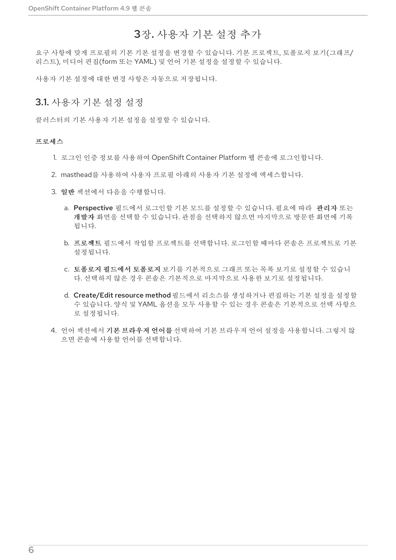# 3장. 사용자 기본 설정 추가

<span id="page-9-0"></span>요구 사항에 맞게 프로필의 기본 기본 설정을 변경할 수 있습니다. 기본 프로젝트, 토폴로지 보기(그래프/ 리스트), 미디어 편집(form 또는 YAML) 및 언어 기본 설정을 설정할 수 있습니다.

사용자 기본 설정에 대한 변경 사항은 자동으로 저장됩니다.

# <span id="page-9-1"></span>3.1. 사용자 기본 설정 설정

클러스터의 기본 사용자 기본 설정을 설정할 수 있습니다.

#### 프로세스

- 1. 로그인 인증 정보를 사용하여 OpenShift Container Platform 웹 콘솔에 로그인합니다.
- 2. masthead를 사용하여 사용자 프로필 아래의 사용자 기본 설정에 액세스합니다.
- 3. 일반 섹션에서 다음을 수행합니다.
	- a. Perspective 필드에서 로그인할 기본 모드를 설정할 수 있습니다. 필요에 따라 관리자 또는 개발자 화면을 선택할 수 있습니다. 관점을 선택하지 않으면 마지막으로 방문한 화면에 기록 됩니다.
	- b. 프로젝트 필드에서 작업할 프로젝트를 선택합니다. 로그인할 때마다 콘솔은 프로젝트로 기본 설정됩니다.
	- c. 토폴로지 필드에서 토폴로지 보기를 기본적으로 그래프 또는 목록 보기로 설정할 수 있습니 다. 선택하지 않은 경우 콘솔은 기본적으로 마지막으로 사용한 보기로 설정됩니다.
	- d. Create/Edit resource method필드에서 리소스를 생성하거나 편집하는 기본 설정을 설정할 수 있습니다. 양식 및 YAML 옵션을 모두 사용할 수 있는 경우 콘솔은 기본적으로 선택 사항으 로 설정됩니다.
- 4. 언어 섹션에서 기본 브라우저 언어를 선택하여 기본 브라우저 언어 설정을 사용합니다. 그렇지 않 으면 콘솔에 사용할 언어를 선택합니다.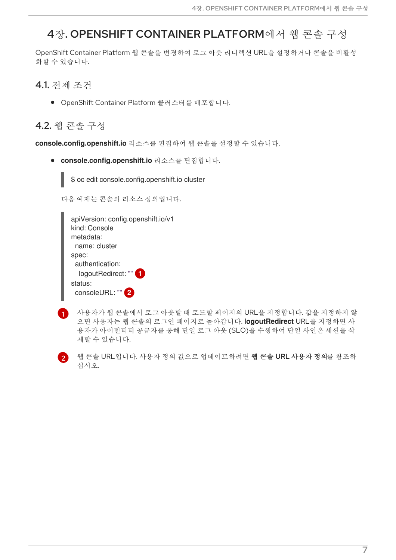# <span id="page-10-0"></span>4장. OPENSHIFT CONTAINER PLATFORM에서 웹 콘솔 구성

OpenShift Container Platform 웹 콘솔을 변경하여 로그 아웃 리디렉션 URL을 설정하거나 콘솔을 비활성 화할 수 있습니다.

<span id="page-10-1"></span>4.1. 전제 조건

● OpenShift Container Platform 클러스터를 배포합니다.

# <span id="page-10-2"></span>4.2. 웹 콘솔 구성

**console.config.openshift.io** 리소스를 편집하여 웹 콘솔을 설정할 수 있습니다.

**console.config.openshift.io** 리소스를 편집합니다.

\$ oc edit console.config.openshift.io cluster

다음 예제는 콘솔의 리소스 정의입니다.



<span id="page-10-4"></span><span id="page-10-3"></span>사용자가 웹 콘솔에서 로그 아웃할 때 로드할 페이지의 URL을 지정합니다. 값을 지정하지 않 으면 사용자는 웹 콘솔의 로그인 페이지로 돌아갑니다. **logoutRedirect** URL을 지정하면 사 용자가 아이덴티티 공급자를 통해 단일 로그 아웃 (SLO)을 수행하여 단일 사인온 세션을 삭 제할 수 있습니다.

 $\mathcal{P}$ 웹 콘솔 URL입니다. 사용자 정의 값으로 업데이트하려면 웹 콘솔 URL 사용자 정의를 참조하 십시오.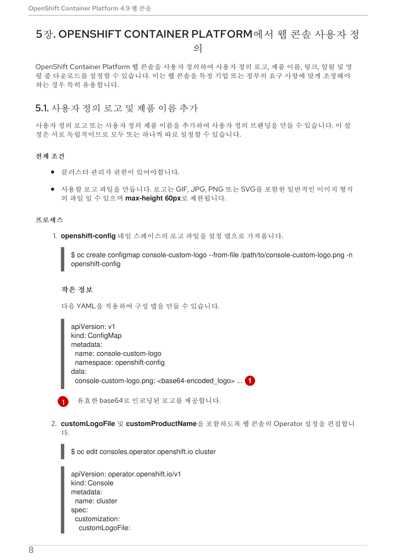# <span id="page-11-0"></span>5장. OPENSHIFT CONTAINER PLATFORM에서 웹 콘솔 사용자 정 의

OpenShift Container Platform 웹 콘솔을 사용자 정의하여 사용자 정의 로고, 제품 이름, 링크, 알림 및 명 령 줄 다운로드를 설정할 수 있습니다. 이는 웹 콘솔을 특정 기업 또는 정부의 요구 사항에 맞게 조정해야 하는 경우 특히 유용합니다.

# <span id="page-11-1"></span>5.1. 사용자 정의 로고 및 제품 이름 추가

사용자 정의 로고 또는 사용자 정의 제품 이름을 추가하여 사용자 정의 브랜딩을 만들 수 있습니다. 이 설 정은 서로 독립적이므로 모두 또는 하나씩 따로 설정할 수 있습니다.

# 전제 조건

- 클러스터 관리자 권한이 있어야합니다.
- 사용할 로고 파일을 만듭니다. 로고는 GIF, JPG, PNG 또는 SVG를 포함한 일반적인 이미지 형식 의 파일 일 수 있으며 **max-height 60px**로 제한됩니다.

#### 프로세스

1. **openshift-config** 네임 스페이스의 로고 파일을 설정 맵으로 가져옵니다.

\$ oc create configmap console-custom-logo --from-file /path/to/console-custom-logo.png -n openshift-config

## 작은 정보

다음 YAML을 적용하여 구성 맵을 만들 수 있습니다.

apiVersion: v1 kind: ConfigMap metadata: name: console-custom-logo namespace: openshift-config data: console-custom-logo.png: <br/>base64-encoded\_logo> ... <br> **1** 



<span id="page-11-2"></span>유효한 base64로 인코딩된 로고를 제공합니다.

2. **customLogoFile** 및 **customProductName**을 포함하도록 웹 콘솔의 Operator 설정을 편집합니 다.

\$ oc edit consoles.operator.openshift.io cluster

apiVersion: operator.openshift.io/v1 kind: Console metadata: name: cluster spec: customization: customLogoFile: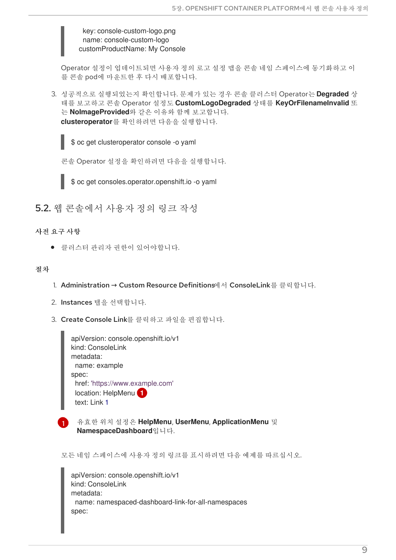# key: console-custom-logo.png name: console-custom-logo customProductName: My Console

Operator 설정이 업데이트되면 사용자 정의 로고 설정 맵을 콘솔 네임 스페이스에 동기화하고 이 를 콘솔 pod에 마운트한 후 다시 배포합니다.

3. 성공적으로 실행되었는지 확인합니다. 문제가 있는 경우 콘솔 클러스터 Operator는 **Degraded** 상 태를 보고하고 콘솔 Operator 설정도 **CustomLogoDegraded** 상태를 **KeyOrFilenameInvalid** 또 는 **NoImageProvided**와 같은 이유와 함께 보고합니다. **clusteroperator**를 확인하려면 다음을 실행합니다.

\$ oc get clusteroperator console -o yaml

콘솔 Operator 설정을 확인하려면 다음을 실행합니다.

\$ oc get consoles.operator.openshift.io -o yaml

<span id="page-12-0"></span>5.2. 웹 콘솔에서 사용자 정의 링크 작성

## 사전 요구 사항

클러스터 관리자 권한이 있어야합니다.

#### 절차

- 1. Administration → Custom Resource Definitions에서 ConsoleLink를 클릭합니다.
- 2. Instances 탭을 선택합니다.
- 3. Create Console Link를 클릭하고 파일을 편집합니다.

```
apiVersion: console.openshift.io/v1
kind: ConsoleLink
metadata:
 name: example
spec:
 href: 'https://www.example.com'
 location: HelpMenu 1
 text: Link 1
```
[1](#page-12-1)

<span id="page-12-1"></span>유효한 위치 설정은 **HelpMenu**, **UserMenu**, **ApplicationMenu** 및 **NamespaceDashboard**입니다.

모든 네임 스페이스에 사용자 정의 링크를 표시하려면 다음 예제를 따르십시오.

apiVersion: console.openshift.io/v1 kind: ConsoleLink metadata: name: namespaced-dashboard-link-for-all-namespaces spec: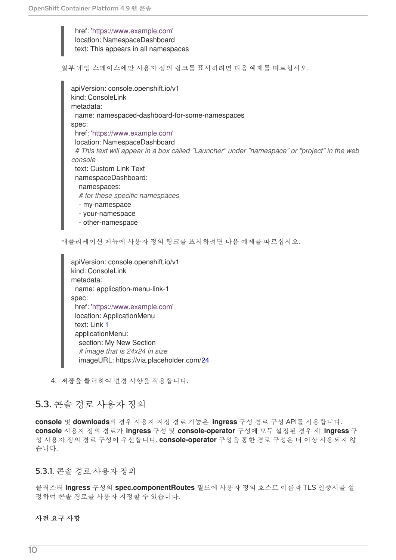href: 'https://www.example.com' location: NamespaceDashboard text: This appears in all namespaces

일부 네임 스페이스에만 사용자 정의 링크를 표시하려면 다음 예제를 따르십시오.

apiVersion: console.openshift.io/v1 kind: ConsoleLink metadata: name: namespaced-dashboard-for-some-namespaces spec: href: 'https://www.example.com' location: NamespaceDashboard *# This text will appear in a box called "Launcher" under "namespace" or "project" in the web console* text: Custom Link Text namespaceDashboard: namespaces: *# for these specific namespaces* - my-namespace - your-namespace - other-namespace

애플리케이션 메뉴에 사용자 정의 링크를 표시하려면 다음 예제를 따르십시오.

| apiVersion: console.openshift.io/v1      |
|------------------------------------------|
| kind: ConsoleLink                        |
| metadata:                                |
| name: application-menu-link-1            |
| spec:                                    |
| href: 'https://www.example.com'          |
| location: ApplicationMenu                |
| text: Link 1                             |
| applicationMenu:                         |
| section: My New Section                  |
| # image that is 24x24 in size            |
| imageURL: https://via.placeholder.com/24 |

4. 저장을 클릭하여 변경 사항을 적용합니다.

# <span id="page-13-0"></span>5.3. 콘솔 경로 사용자 정의

**console** 및 **downloads**의 경우 사용자 지정 경로 기능은 **ingress** 구성 경로 구성 API를 사용합니다. **console** 사용자 정의 경로가 **ingress** 구성 및 **console-operator** 구성에 모두 설정된 경우 새 **ingress** 구 성 사용자 정의 경로 구성이 우선합니다. **console-operator** 구성을 통한 경로 구성은 더 이상 사용되지 않 습니다.

<span id="page-13-1"></span>5.3.1. 콘솔 경로 사용자 정의

클러스터 **Ingress** 구성의 **spec.componentRoutes** 필드에 사용자 정의 호스트 이름과 TLS 인증서를 설 정하여 콘솔 경로를 사용자 지정할 수 있습니다.

## 사전 요구 사항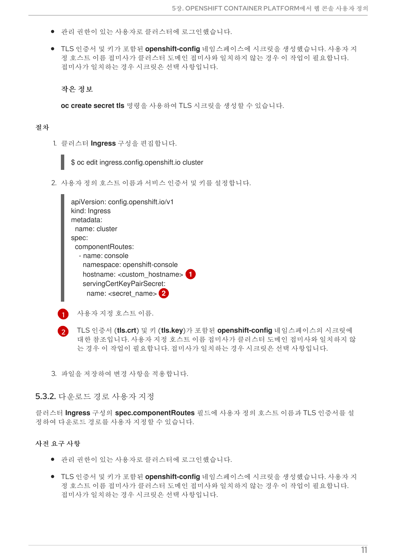- 관리 권한이 있는 사용자로 클러스터에 로그인했습니다.
- TLS 인증서 및 키가 포함된 **openshift-config** 네임스페이스에 시크릿을 생성했습니다. 사용자 지 정 호스트 이름 접미사가 클러스터 도메인 접미사와 일치하지 않는 경우 이 작업이 필요합니다. 접미사가 일치하는 경우 시크릿은 선택 사항입니다.

```
작은 정보
```
**oc create secret tls** 명령을 사용하여 TLS 시크릿을 생성할 수 있습니다.

#### 절차

1. 클러스터 **Ingress** 구성을 편집합니다.

\$ oc edit ingress.config.openshift.io cluster

2. 사용자 정의 호스트 이름과 서비스 인증서 및 키를 설정합니다.

| apiVersion: config.openshift.io/v1<br>kind: Ingress<br>metadata:<br>name: cluster |
|-----------------------------------------------------------------------------------|
| spec:                                                                             |
| componentRoutes:                                                                  |
| - name: console                                                                   |
| namespace: openshift-console                                                      |
| hostname: <custom hostname=""></custom>                                           |
| servingCertKeyPairSecret:                                                         |
| name: <secret_name> 2</secret_name>                                               |
|                                                                                   |

- <span id="page-14-2"></span><span id="page-14-1"></span> $\blacksquare$ 사용자 지정 호스트 이름.
- [2](#page-14-2) TLS 인증서 (**tls.crt**) 및 키 (**tls.key**)가 포함된 **openshift-config** 네임스페이스의 시크릿에 대한 참조입니다. 사용자 지정 호스트 이름 접미사가 클러스터 도메인 접미사와 일치하지 않 는 경우 이 작업이 필요합니다. 접미사가 일치하는 경우 시크릿은 선택 사항입니다.

3. 파일을 저장하여 변경 사항을 적용합니다.

<span id="page-14-0"></span>5.3.2. 다운로드 경로 사용자 지정

클러스터 **Ingress** 구성의 **spec.componentRoutes** 필드에 사용자 정의 호스트 이름과 TLS 인증서를 설 정하여 다운로드 경로를 사용자 지정할 수 있습니다.

## 사전 요구 사항

- 관리 권한이 있는 사용자로 클러스터에 로그인했습니다.
- TLS 인증서 및 키가 포함된 **openshift-config** 네임스페이스에 시크릿을 생성했습니다. 사용자 지 정 호스트 이름 접미사가 클러스터 도메인 접미사와 일치하지 않는 경우 이 작업이 필요합니다. 접미사가 일치하는 경우 시크릿은 선택 사항입니다.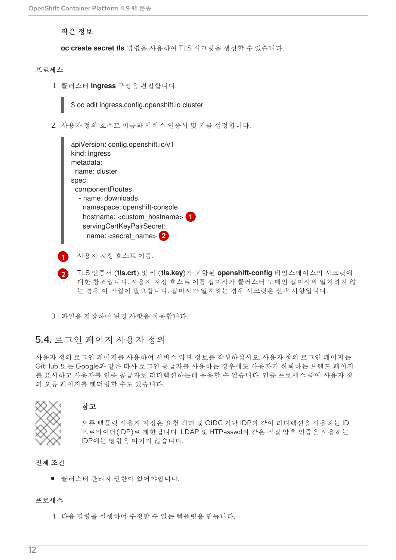작은 정보

**oc create secret tls** 명령을 사용하여 TLS 시크릿을 생성할 수 있습니다.

## 프로세스

1. 클러스터 **Ingress** 구성을 편집합니다.



- \$ oc edit ingress.config.openshift.io cluster
- 2. 사용자 정의 호스트 이름과 서비스 인증서 및 키를 설정합니다.

| apiVersion: config.openshift.io/v1<br>kind: Ingress<br>metadata:<br>name: cluster |  |
|-----------------------------------------------------------------------------------|--|
| spec:                                                                             |  |
| componentRoutes:                                                                  |  |
| - name: downloads                                                                 |  |
| namespace: openshift-console                                                      |  |
| hostname: < custom_hostname>                                                      |  |
| servingCertKeyPairSecret:                                                         |  |
| name: <secret name=""> 2</secret>                                                 |  |
|                                                                                   |  |

- <span id="page-15-2"></span><span id="page-15-1"></span>[1](#page-15-1) 사용자 지정 호스트 이름.
- 6 TLS 인증서 (**tls.crt**) 및 키 (**tls.key**)가 포함된 **openshift-config** 네임스페이스의 시크릿에 대한 참조입니다. 사용자 지정 호스트 이름 접미사가 클러스터 도메인 접미사와 일치하지 않 는 경우 이 작업이 필요합니다. 접미사가 일치하는 경우 시크릿은 선택 사항입니다.
- 3. 파일을 저장하여 변경 사항을 적용합니다.

# <span id="page-15-0"></span>5.4. 로그인 페이지 사용자 정의

사용자 정의 로그인 페이지를 사용하여 서비스 약관 정보를 작성하십시오. 사용자 정의 로그인 페이지는 GitHub 또는 Google과 같은 타사 로그인 공급자를 사용하는 경우에도 사용자가 신뢰하는 브랜드 페이지 를 표시하고 사용자를 인증 공급자로 리디렉션하는데 유용할 수 있습니다. 인증 프로세스 중에 사용자 정 의 오류 페이지를 렌더링할 수도 있습니다.



## 참고

오류 템플릿 사용자 지정은 요청 헤더 및 OIDC 기반 IDP와 같이 리디렉션을 사용하는 ID 프로바이더(IDP)로 제한됩니다. LDAP 및 HTPasswd와 같은 직접 암호 인증을 사용하는 IDP에는 영향을 미치지 않습니다.

## 전제 조건

클러스터 관리자 권한이 있어야합니다.

## 프로세스

1. 다음 명령을 실행하여 수정할 수 있는 템플릿을 만듭니다.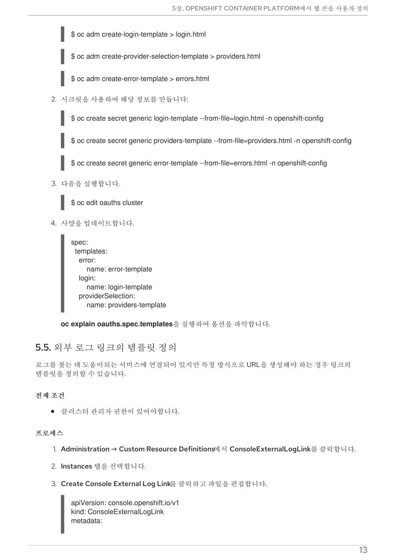\$ oc adm create-login-template > login.html

\$ oc adm create-provider-selection-template > providers.html

\$ oc adm create-error-template > errors.html

2. 시크릿을 사용하여 해당 정보를 만듭니다:

\$ oc create secret generic login-template --from-file=login.html -n openshift-config

\$ oc create secret generic providers-template --from-file=providers.html -n openshift-config

\$ oc create secret generic error-template --from-file=errors.html -n openshift-config

3. 다음을 실행합니다.



4. 사양을 업데이트합니다.

```
spec:
 templates:
  error:
    name: error-template
  login:
    name: login-template
  providerSelection:
    name: providers-template
```
**oc explain oauths.spec.templates**을 실행하여 옵션을 파악합니다.

# <span id="page-16-0"></span>5.5. 외부 로그 링크의 템플릿 정의

로그를 찾는 데 도움이되는 서비스에 연결되어 있지만 특정 방식으로 URL을 생성해야 하는 경우 링크의 템플릿을 정의할 수 있습니다.

#### 전제 조건

클러스터 관리자 권한이 있어야합니다.

#### 프로세스

- 1. Administration → Custom Resource Definitions에서 ConsoleExternalLogLink를 클릭합니다.
- 2. Instances 탭을 선택합니다.
- 3. Create Console External Log Link를 클릭하고 파일을 편집합니다.

apiVersion: console.openshift.io/v1 kind: ConsoleExternalLogLink metadata: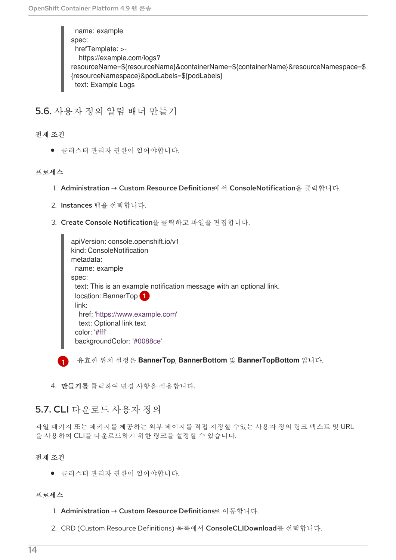name: example spec: hrefTemplate: > https://example.com/logs? resourceName=\${resourceName}&containerName=\${containerName}&resourceNamespace=\$ {resourceNamespace}&podLabels=\${podLabels} text: Example Logs

<span id="page-17-0"></span>5.6. 사용자 정의 알림 배너 만들기

# 전제 조건

클러스터 관리자 권한이 있어야합니다.

# 프로세스

- 1. Administration → Custom Resource Definitions에서 ConsoleNotification을 클릭합니다.
- 2. Instances 탭을 선택합니다.
- 3. Create Console Notification을 클릭하고 파일을 편집합니다.

<span id="page-17-2"></span>apiVersion: console.openshift.io/v1 kind: ConsoleNotification metadata: name: example spec: text: This is an example notification message with an optional link. location: BannerTop **1** link: href: 'https://www.example.com' text: Optional link text color: '#fff' backgroundColor: '#0088ce'



유효한 위치 설정은 **BannerTop**, **BannerBottom** 및 **BannerTopBottom** 입니다.

4. 만들기를 클릭하여 변경 사항을 적용합니다.

# <span id="page-17-1"></span>5.7. CLI 다운로드 사용자 정의

파일 패키지 또는 패키지를 제공하는 외부 페이지를 직접 지정할 수있는 사용자 정의 링크 텍스트 및 URL 을 사용하여 CLI를 다운로드하기 위한 링크를 설정할 수 있습니다.

# 전제 조건

클러스터 관리자 권한이 있어야합니다.

# 프로세스

- 1. Administration → Custom Resource Definitions로 이동합니다.
- 2. CRD (Custom Resource Definitions) 목록에서 ConsoleCLIDownload를 선택합니다.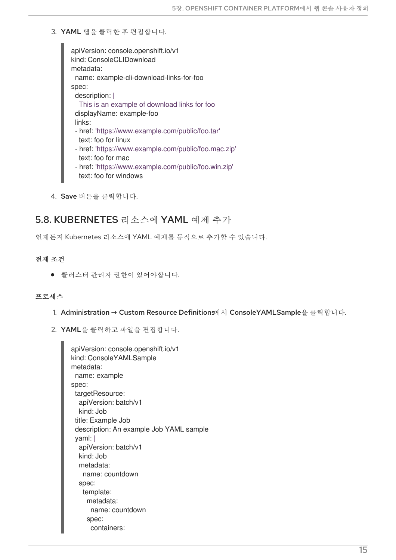3. YAML 탭을 클릭한 후 편집합니다.

apiVersion: console.openshift.io/v1 kind: ConsoleCLIDownload metadata: name: example-cli-download-links-for-foo spec: description: | This is an example of download links for foo displayName: example-foo links: - href: 'https://www.example.com/public/foo.tar' text: foo for linux - href: 'https://www.example.com/public/foo.mac.zip'

- text: foo for mac - href: 'https://www.example.com/public/foo.win.zip' text: foo for windows
- 4. Save 버튼을 클릭합니다.

# <span id="page-18-0"></span>5.8. KUBERNETES 리소스에 YAML 예제 추가

언제든지 Kubernetes 리소스에 YAML 예제를 동적으로 추가할 수 있습니다.

# 전제 조건

클러스터 관리자 권한이 있어야합니다.

## 프로세스

- 1. Administration → Custom Resource Definitions에서 ConsoleYAMLSample을 클릭합니다.
- 2. YAML을 클릭하고 파일을 편집합니다.

```
apiVersion: console.openshift.io/v1
kind: ConsoleYAMLSample
metadata:
 name: example
spec:
 targetResource:
  apiVersion: batch/v1
  kind: Job
 title: Example Job
 description: An example Job YAML sample
 yaml: |
  apiVersion: batch/v1
  kind: Job
  metadata:
   name: countdown
  spec:
   template:
    metadata:
     name: countdown
    spec:
     containers:
```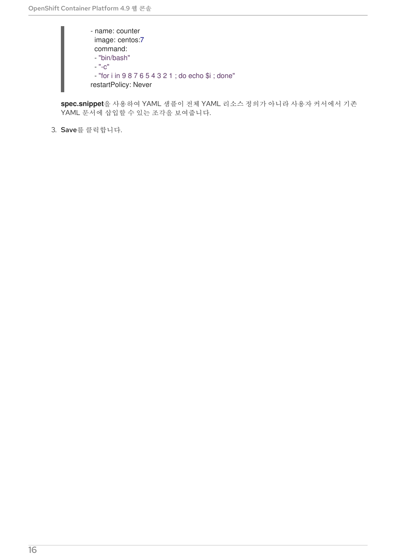- name: counter image: centos:7 command: - "bin/bash" - "-c" - "for i in 9 8 7 6 5 4 3 2 1 ; do echo \$i ; done" restartPolicy: Never

**spec.snippet**을 사용하여 YAML 샘플이 전체 YAML 리소스 정의가 아니라 사용자 커서에서 기존 YAML 문서에 삽입할 수 있는 조각을 보여줍니다.

3. Save를 클릭합니다.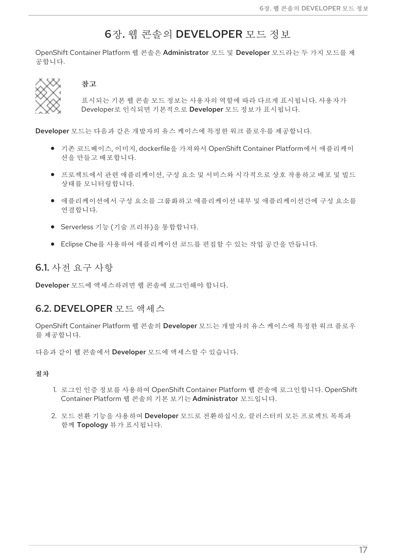# 6장. 웹 콘솔의 DEVELOPER 모드 정보

<span id="page-20-0"></span>OpenShift Container Platform 웹 콘솔은 Administrator 모드 및 Developer 모드라는 두 가지 모드를 제 공합니다.



## 참고

표시되는 기본 웹 콘솔 모드 정보는 사용자의 역할에 따라 다르게 표시됩니다. 사용자가 Developer로 인식되면 기본적으로 Developer 모드 정보가 표시됩니다.

Developer 모드는 다음과 같은 개발자의 유스 케이스에 특정한 워크 플로우를 제공합니다.

- 기존 코드베이스, 이미지, dockerfile을 가져와서 OpenShift Container Platform에서 애플리케이 션을 만들고 배포합니다.
- 프로젝트에서 관련 애플리케이션, 구성 요소 및 서비스와 시각적으로 상호 작용하고 배포 및 빌드 상태를 모니터링합니다.
- 애플리케이션에서 구성 요소를 그룹화하고 애플리케이션 내부 및 애플리케이션간에 구성 요소를 연결합니다.
- Serverless 기능 (기술 프리뷰)을 통합합니다.
- Eclipse Che를 사용하여 애플리케이션 코드를 편집할 수 있는 작업 공간을 만듭니다.

# <span id="page-20-1"></span>6.1. 사전 요구 사항

Developer 모드에 액세스하려면 웹 콘솔에 로그인해야 합니다.

# <span id="page-20-2"></span>6.2. DEVELOPER 모드 액세스

OpenShift Container Platform 웹 콘솔의 Developer 모드는 개발자의 유스 케이스에 특정한 워크 플로우 를 제공합니다.

다음과 같이 웹 콘솔에서 Developer 모드에 액세스할 수 있습니다.

#### 절차

- 1. 로그인 인증 정보를 사용하여 OpenShift Container Platform 웹 콘솔에 로그인합니다. OpenShift Container Platform 웹 콘솔의 기본 보기는 Administrator 모드입니다.
- 2. 모드 전환 기능을 사용하여 Developer 모드로 전환하십시오. 클러스터의 모든 프로젝트 목록과 함께 Topology 뷰가 표시됩니다.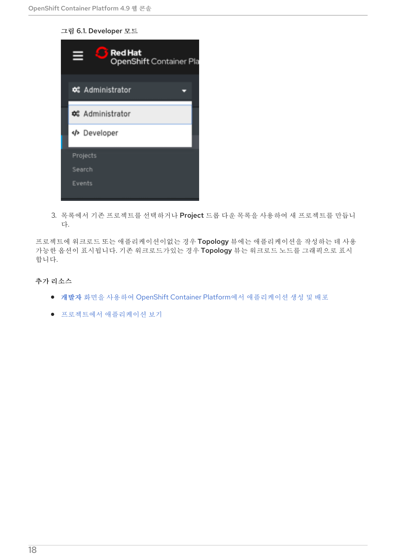그림 6.1. Developer 모드

| <b>Red Hat</b><br><b>OpenShift Container Pla</b> |
|--------------------------------------------------|
| <b>≎</b> Administrator                           |
| <b>☆</b> Administrator                           |
| ◆ Developer                                      |
| Projects                                         |
| Search                                           |
| Events                                           |

3. 목록에서 기존 프로젝트를 선택하거나 Project 드롭 다운 목록을 사용하여 새 프로젝트를 만듭니 다.

프로젝트에 워크로드 또는 애플리케이션이없는 경우 Topology 뷰에는 애플리케이션을 작성하는 데 사용 가능한 옵션이 표시됩니다. 기존 워크로드가있는 경우 Topology 뷰는 워크로드 노드를 그래픽으로 표시 합니다.

## 추가 리소스

- 개발자 화면을 사용하여 OpenShift Container Platform에서 [애플리케이션](https://access.redhat.com/documentation/en-us/openshift_container_platform/4.9/html-single/building_applications/#odc-creating-applications-using-developer-perspective) 생성 및 배포
- 프로젝트에서 [애플리케이션](https://access.redhat.com/documentation/en-us/openshift_container_platform/4.9/html-single/building_applications/#odc-viewing-application-composition-using-topology-view) 보기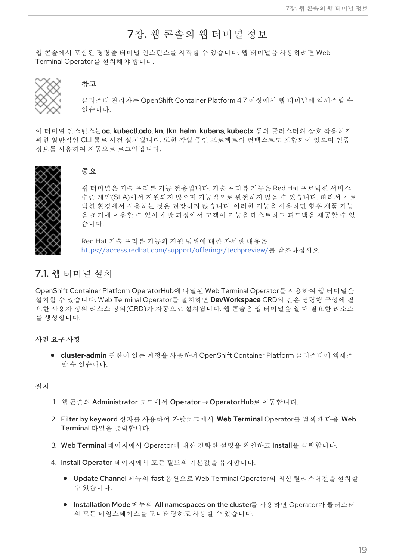# 7장. 웹 콘솔의 웹 터미널 정보

<span id="page-22-0"></span>웹 콘솔에서 포함된 명령줄 터미널 인스턴스를 시작할 수 있습니다. 웹 터미널을 사용하려면 Web Terminal Operator를 설치해야 합니다.



# 참고

클러스터 관리자는 OpenShift Container Platform 4.7 이상에서 웹 터미널에 액세스할 수 있습니다.

이 터미널 인스턴스는**oc**, **kubectl**,**odo**, **kn**, **tkn**, **helm**, **kubens**, **kubectx** 등의 클러스터와 상호 작용하기 위한 일반적인 CLI 툴로 사전 설치됩니다. 또한 작업 중인 프로젝트의 컨텍스트도 포함되어 있으며 인증 정보를 사용하여 자동으로 로그인됩니다.



# 중요

웹 터미널은 기술 프리뷰 기능 전용입니다. 기술 프리뷰 기능은 Red Hat 프로덕션 서비스 수준 계약(SLA)에서 지원되지 않으며 기능적으로 완전하지 않을 수 있습니다. 따라서 프로 덕션 환경에서 사용하는 것은 권장하지 않습니다. 이러한 기능을 사용하면 향후 제품 기능 을 조기에 이용할 수 있어 개발 과정에서 고객이 기능을 테스트하고 피드백을 제공할 수 있 습니다.

Red Hat 기술 프리뷰 기능의 지원 범위에 대한 자세한 내용은 <https://access.redhat.com/support/offerings/techpreview/>를 참조하십시오.

# <span id="page-22-1"></span>7.1. 웹 터미널 설치

OpenShift Container Platform OperatorHub에 나열된 Web Terminal Operator를 사용하여 웹 터미널을 설치할 수 있습니다. Web Terminal Operator를 설치하면 **DevWorkspace** CRD와 같은 명령행 구성에 필 요한 사용자 정의 리소스 정의(CRD)가 자동으로 설치됩니다. 웹 콘솔은 웹 터미널을 열 때 필요한 리소스 를 생성합니다.

# 사전 요구 사항

**cluster-admin** 권한이 있는 계정을 사용하여 OpenShift Container Platform 클러스터에 액세스 할 수 있습니다.

## 절차

- 1. 웹 콘솔의 Administrator 모드에서 Operator **→** OperatorHub로 이동합니다.
- 2. Filter by keyword 상자를 사용하여 카탈로그에서 **Web Terminal** Operator를 검색한 다음 Web Terminal 타일을 클릭합니다.
- 3. Web Terminal 페이지에서 Operator에 대한 간략한 설명을 확인하고 Install을 클릭합니다.
- 4. Install Operator 페이지에서 모든 필드의 기본값을 유지합니다.
	- Update Channel 메뉴의 fast 옵션으로 Web Terminal Operator의 최신 릴리스버전을 설치할 수 있습니다.
	- Installation Mode 메뉴의 All namespaces on the cluster를 사용하면 Operator가 클러스터 의 모든 네임스페이스를 모니터링하고 사용할 수 있습니다.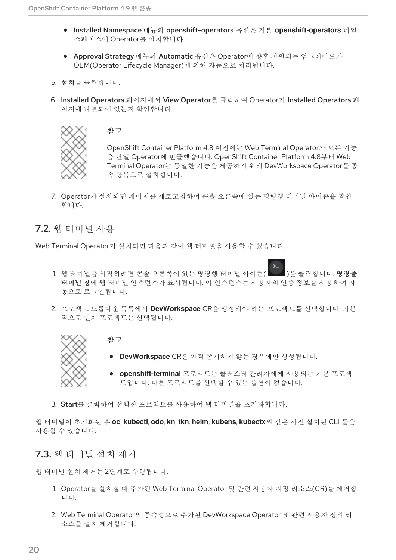- Installed Namespace 메뉴의 openshift-operators 옵션은 기본 **openshift-operators** 네임 스페이스에 Operator를 설치합니다.
- Approval Strategy 메뉴의 Automatic 옵션은 Operator에 향후 지원되는 업그레이드가 OLM(Operator Lifecycle Manager)에 의해 자동으로 처리됩니다.
- 5. 설치를 클릭합니다.
- 6. Installed Operators 페이지에서 View Operator를 클릭하여 Operator가 Installed Operators 페 이지에 나열되어 있는지 확인합니다.



참고

OpenShift Container Platform 4.8 이전에는 Web Terminal Operator가 모든 기능 을 단일 Operator에 번들했습니다. OpenShift Container Platform 4.8부터 Web Terminal Operator는 동일한 기능을 제공하기 위해 DevWorkspace Operator를 종 속 항목으로 설치합니다.

7. Operator가 설치되면 페이지를 새로고침하여 콘솔 오른쪽에 있는 명령행 터미널 아이콘을 확인 합니다.

<span id="page-23-0"></span>7.2. 웹 터미널 사용

Web Terminal Operator가 설치되면 다음과 같이 웹 터미널을 사용할 수 있습니다.

- 1. 웹 터미널을 시작하려면 콘솔 오른쪽에 있는 명령행 터미널 아이콘( )을 클릭합니다. 명령줄 터미널 창에 웹 터미널 인스턴스가 표시됩니다. 이 인스턴스는 사용자의 인증 정보를 사용하여 자 동으로 로그인됩니다.
- 2. 프로젝트 드롭다운 목록에서 **DevWorkspace** CR을 생성해야 하는 프로젝트를 선택합니다. 기본 적으로 현재 프로젝트는 선택됩니다.



참고

- **DevWorkspace** CR은 아직 존재하지 않는 경우에만 생성됩니다.
- **openshift-terminal** 프로젝트는 클러스터 관리자에게 사용되는 기본 프로젝 트입니다. 다른 프로젝트를 선택할 수 있는 옵션이 없습니다.
- 3. Start를 클릭하여 선택한 프로젝트를 사용하여 웹 터미널을 초기화합니다.

웹 터미널이 초기화된 후 **oc**, **kubectl**, **odo**, **kn**, **tkn**, **helm**, **kubens**, **kubectx**와 같은 사전 설치된 CLI 툴을 사용할 수 있습니다.

<span id="page-23-1"></span>7.3. 웹 터미널 설치 제거

웹 터미널 설치 제거는 2단계로 수행됩니다.

- 1. Operator를 설치할 때 추가된 Web Terminal Operator 및 관련 사용자 지정 리소스(CR)를 제거합 니다.
- 2. Web Terminal Operator의 종속성으로 추가된 DevWorkspace Operator 및 관련 사용자 정의 리 소스를 설치 제거합니다.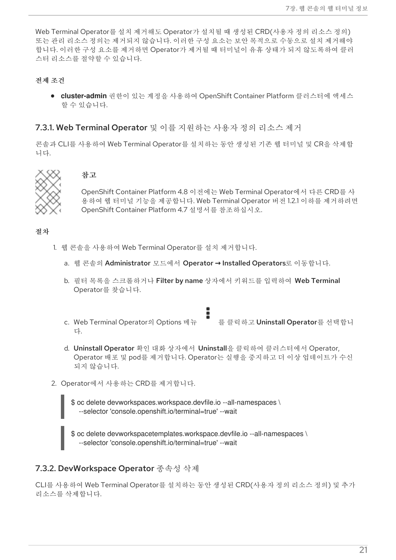Web Terminal Operator를 설치 제거해도 Operator가 설치될 때 생성된 CRD(사용자 정의 리소스 정의) 또는 관리 리소스 정의는 제거되지 않습니다. 이러한 구성 요소는 보안 목적으로 수동으로 설치 제거해야 합니다. 이러한 구성 요소를 제거하면 Operator가 제거될 때 터미널이 유휴 상태가 되지 않도록하여 클러 스터 리소스를 절약할 수 있습니다.

# 전제 조건

**cluster-admin** 권한이 있는 계정을 사용하여 OpenShift Container Platform 클러스터에 액세스 할 수 있습니다.

<span id="page-24-0"></span>7.3.1. Web Terminal Operator 및 이를 지원하는 사용자 정의 리소스 제거

콘솔과 CLI를 사용하여 Web Terminal Operator를 설치하는 동안 생성된 기존 웹 터미널 및 CR을 삭제합 니다.



# 참고

OpenShift Container Platform 4.8 이전에는 Web Terminal Operator에서 다른 CRD를 사 용하여 웹 터미널 기능을 제공합니다. Web Terminal Operator 버전 1.2.1 이하를 제거하려면 OpenShift Container Platform 4.7 설명서를 참조하십시오.

# 절차

- 1. 웹 콘솔을 사용하여 Web Terminal Operator를 설치 제거합니다.
	- a. 웹 콘솔의 Administrator 모드에서 Operator **→** Installed Operators로 이동합니다.
	- b. 필터 목록을 스크롤하거나 Filter by name 상자에서 키워드를 입력하여 Web Terminal Operator를 찾습니다.
	- c. Web Terminal Operator의 Options 메뉴 <sup>-</sup> 를 클릭하고 Uninstall Operator를 선택합니 다.
	- d. Uninstall Operator 확인 대화 상자에서 Uninstall을 클릭하여 클러스터에서 Operator, Operator 배포 및 pod를 제거합니다. Operator는 실행을 중지하고 더 이상 업데이트가 수신 되지 않습니다.
- 2. Operator에서 사용하는 CRD를 제거합니다.

\$ oc delete devworkspaces.workspace.devfile.io --all-namespaces \ --selector 'console.openshift.io/terminal=true' --wait

\$ oc delete devworkspacetemplates.workspace.devfile.io --all-namespaces \ --selector 'console.openshift.io/terminal=true' --wait

# <span id="page-24-1"></span>7.3.2. DevWorkspace Operator 종속성 삭제

CLI를 사용하여 Web Terminal Operator를 설치하는 동안 생성된 CRD(사용자 정의 리소스 정의) 및 추가 리소스를 삭제합니다.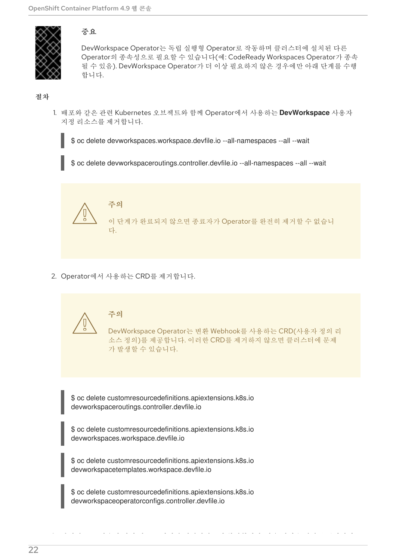

# 중요

DevWorkspace Operator는 독립 실행형 Operator로 작동하며 클러스터에 설치된 다른 Operator의 종속성으로 필요할 수 있습니다(예: CodeReady Workspaces Operator가 종속 될 수 있음). DevWorkspace Operator가 더 이상 필요하지 않은 경우에만 아래 단계를 수행 합니다.

# 절차

1. 배포와 같은 관련 Kubernetes 오브젝트와 함께 Operator에서 사용하는 **DevWorkspace** 사용자 지정 리소스를 제거합니다.

\$ oc delete devworkspaces.workspace.devfile.io --all-namespaces --all --wait

\$ oc delete devworkspaceroutings.controller.devfile.io --all-namespaces --all --wait



2. Operator에서 사용하는 CRD를 제거합니다.



3. 관련된 모든 사용자 정의 리소스 정의가 제거되었는지 확인합니다. 다음 명령은 결과를 표시하지

\$ oc delete customresourcedefinitions.apiextensions.k8s.io devworkspaceoperatorconfigs.controller.devfile.io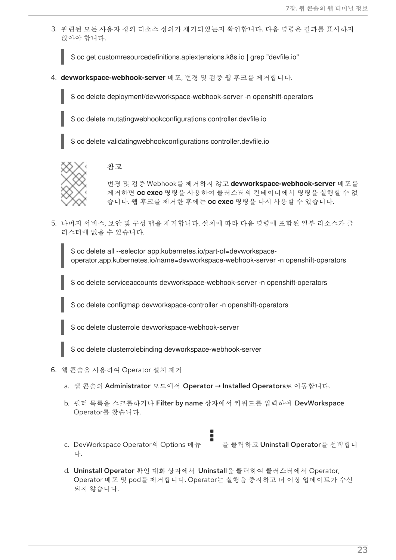3. 관련된 모든 사용자 정의 리소스 정의가 제거되었는지 확인합니다. 다음 명령은 결과를 표시하지 않아야 합니다.

\$ oc get customresourcedefinitions.apiextensions.k8s.io | grep "devfile.io"

4. **devworkspace-webhook-server** 배포, 변경 및 검증 웹 후크를 제거합니다.

\$ oc delete deployment/devworkspace-webhook-server -n openshift-operators

\$ oc delete mutatingwebhookconfigurations controller.devfile.io

\$ oc delete validatingwebhookconfigurations controller.devfile.io



#### 참고

변경 및 검증 Webhook를 제거하지 않고 **devworkspace-webhook-server** 배포를 제거하면 **oc exec** 명령을 사용하여 클러스터의 컨테이너에서 명령을 실행할 수 없 습니다. 웹 후크를 제거한 후에는 **oc exec** 명령을 다시 사용할 수 있습니다.

5. 나머지 서비스, 보안 및 구성 맵을 제거합니다. 설치에 따라 다음 명령에 포함된 일부 리소스가 클 러스터에 없을 수 있습니다.

\$ oc delete all --selector app.kubernetes.io/part-of=devworkspaceoperator,app.kubernetes.io/name=devworkspace-webhook-server -n openshift-operators

\$ oc delete serviceaccounts devworkspace-webhook-server -n openshift-operators

\$ oc delete configmap devworkspace-controller -n openshift-operators

\$ oc delete clusterrole devworkspace-webhook-server

\$ oc delete clusterrolebinding devworkspace-webhook-server

- 6. 웹 콘솔을 사용하여 Operator 설치 제거
	- a. 웹 콘솔의 Administrator 모드에서 Operator **→** Installed Operators로 이동합니다.
	- b. 필터 목록을 스크롤하거나 Filter by name 상자에서 키워드를 입력하여 DevWorkspace Operator를 찾습니다.

- c. DevWorkspace Operator의 Options 메뉴 <sup>-</sup> 를 클릭하고 Uninstall Operator를 선택합니 다.
- d. Uninstall Operator 확인 대화 상자에서 Uninstall을 클릭하여 클러스터에서 Operator, Operator 배포 및 pod를 제거합니다. Operator는 실행을 중지하고 더 이상 업데이트가 수신 되지 않습니다.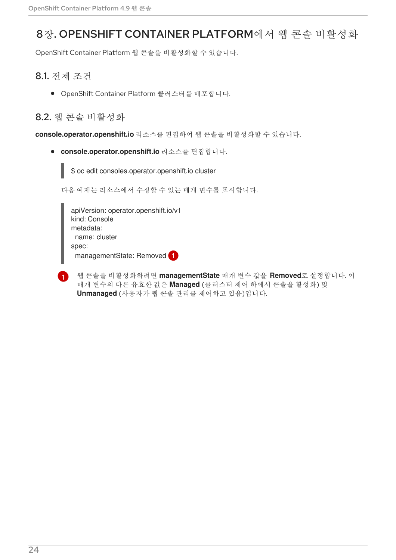# <span id="page-27-0"></span>8장. OPENSHIFT CONTAINER PLATFORM에서 웹 콘솔 비활성화

OpenShift Container Platform 웹 콘솔을 비활성화할 수 있습니다.

<span id="page-27-1"></span>8.1. 전제 조건

● OpenShift Container Platform 클러스터를 배포합니다.

# <span id="page-27-2"></span>8.2. 웹 콘솔 비활성화

**console.operator.openshift.io** 리소스를 편집하여 웹 콘솔을 비활성화할 수 있습니다.

**console.operator.openshift.io** 리소스를 편집합니다.

\$ oc edit consoles.operator.openshift.io cluster

```
다음 예제는 리소스에서 수정할 수 있는 매개 변수를 표시합니다.
```


<span id="page-27-3"></span>[1](#page-27-3) 웹 콘솔을 비활성화하려면 **managementState** 매개 변수 값을 **Removed**로 설정합니다. 이 매개 변수의 다른 유효한 값은 **Managed** (클러스터 제어 하에서 콘솔을 활성화) 및 **Unmanaged** (사용자가 웹 콘솔 관리를 제어하고 있음)입니다.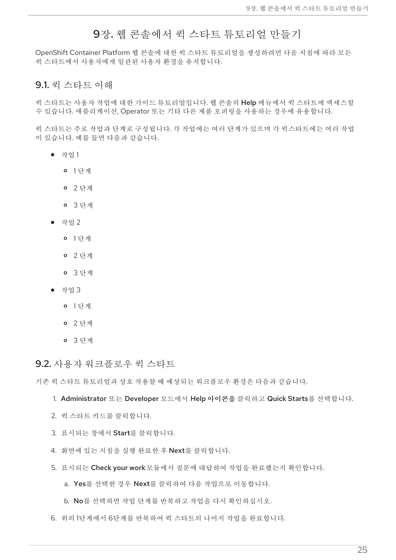# 9장. 웹 콘솔에서 퀵 스타트 튜토리얼 만들기

<span id="page-28-0"></span>OpenShift Container Platform 웹 콘솔에 대한 퀵 스타트 튜토리얼을 생성하려면 다음 지침에 따라 모든 퀵 스타트에서 사용자에게 일관된 사용자 환경을 유지합니다.

# <span id="page-28-1"></span>9.1. 퀵 스타트 이해

퀵 스타트는 사용자 작업에 대한 가이드 튜토리얼입니다. 웹 콘솔의 Help 메뉴에서 퀵 스타트에 액세스할 수 있습니다. 애플리케이션, Operator 또는 기타 다른 제품 오퍼링을 사용하는 경우에 유용합니다.

퀵 스타트는 주로 작업과 단계로 구성됩니다. 각 작업에는 여러 단계가 있으며 각 퀵스타트에는 여러 작업 이 있습니다. 예를 들면 다음과 같습니다.

- $\bullet$  작업 1
	- 1 단계
	- 2 단계
	- 3 단계
- 작업 2
	- 1 단계
	- 2 단계
	- 3 단계
- 작업 3
	- 1 단계
	- 2 단계
	- 3 단계

<span id="page-28-2"></span>9.2. 사용자 워크플로우 퀵 스타트

기존 퀵 스타트 튜토리얼과 상호 작용할 때 예상되는 워크플로우 환경은 다음과 같습니다.

#### 1. Administrator 또는 Developer 모드에서 Help 아이콘을 클릭하고 Quick Starts를 선택합니다.

- 2. 퀵 스타트 카드를 클릭합니다.
- 3. 표시되는 창에서 Start를 클릭합니다.
- 4. 화면에 있는 지침을 실행 완료한 후 Next를 클릭합니다.
- 5. 표시되는 Check your work모듈에서 질문에 대답하여 작업을 완료했는지 확인합니다.
	- a. Yes를 선택한 경우 Next를 클릭하여 다음 작업으로 이동합니다.
	- b. No를 선택하면 작업 단계를 반복하고 작업을 다시 확인하십시오.
- 6. 위의 1단계에서 6단계를 반복하여 퀵 스타트의 나머지 작업을 완료합니다.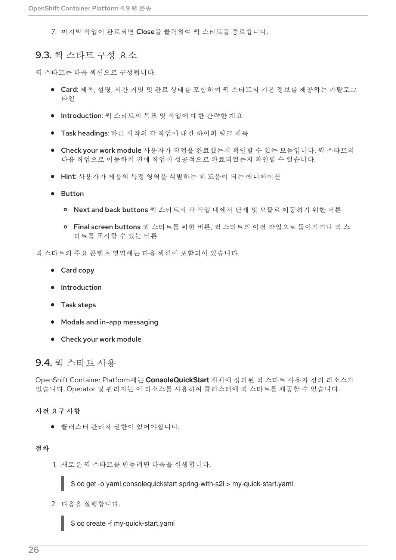7. 마지막 작업이 완료되면 Close를 클릭하여 퀵 스타트를 종료합니다.

# <span id="page-29-0"></span>9.3. 퀵 스타트 구성 요소

퀵 스타트는 다음 섹션으로 구성됩니다.

- Card: 제목, 설명, 시간 커밋 및 완료 상태를 포함하여 퀵 스타트의 기본 정보를 제공하는 카탈로그 타일
- Introduction: 퀵 스타트의 목표 및 작업에 대한 간략한 개요
- Task headings: 빠른 시작의 각 작업에 대한 하이퍼 링크 제목
- Check your work module 사용자가 작업을 완료했는지 확인할 수 있는 모듈입니다. 퀵 스타트의 다음 작업으로 이동하기 전에 작업이 성공적으로 완료되었는지 확인할 수 있습니다.
- Hint: 사용자가 제품의 특정 영역을 식별하는 데 도움이 되는 애니메이션
- Button
	- o Next and back buttons 퀵 스타트의 각 작업 내에서 단계 및 모듈로 이동하기 위한 버튼
	- Final screen buttons: 퀵 스타트를 위한 버튼, 퀵 스타트의 이전 작업으로 돌아가거나 퀵 스 타트를 표시할 수 있는 버튼

퀵 스타트의 주요 콘텐츠 영역에는 다음 섹션이 포함되어 있습니다.

- Card copy
- Introduction
- Task steps
- Modals and in-app messaging
- Check your work module

# <span id="page-29-1"></span>9.4. 퀵 스타트 사용

OpenShift Container Platform에는 **ConsoleQuickStart** 개체에 정의된 퀵 스타트 사용자 정의 리소스가 있습니다. Operator 및 관리자는 이 리소스를 사용하여 클러스터에 퀵 스타트를 제공할 수 있습니다.

#### 사전 요구 사항

클러스터 관리자 권한이 있어야합니다.

#### 절차

1. 새로운 퀵 스타트를 만들려면 다음을 실행합니다.

\$ oc get -o yaml consolequickstart spring-with-s2i > my-quick-start.yaml

2. 다음을 실행합니다.

\$ oc create -f my-quick-start.yaml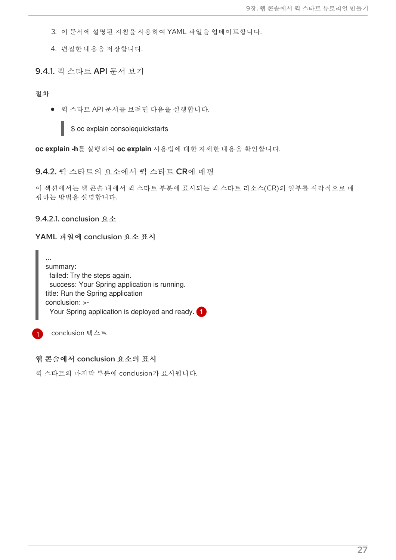3. 이 문서에 설명된 지침을 사용하여 YAML 파일을 업데이트합니다.

4. 편집한 내용을 저장합니다.

# <span id="page-30-0"></span>9.4.1. 퀵 스타트 API 문서 보기

#### 절차

퀵 스타트 API 문서를 보려면 다음을 실행합니다.



**oc explain -h**를 실행하여 **oc explain** 사용법에 대한 자세한 내용을 확인합니다.

#### <span id="page-30-1"></span>9.4.2. 퀵 스타트의 요소에서 퀵 스타트 CR에 매핑

이 섹션에서는 웹 콘솔 내에서 퀵 스타트 부분에 표시되는 퀵 스타트 리소스(CR)의 일부를 시각적으로 매 핑하는 방법을 설명합니다.

<span id="page-30-2"></span>9.4.2.1. conclusion 요소

# YAML 파일에 conclusion 요소 표시



<span id="page-30-3"></span>conclusion 텍스트

[1](#page-30-3)

#### 웹 콘솔에서 conclusion 요소의 표시

퀵 스타트의 마지막 부분에 conclusion가 표시됩니다.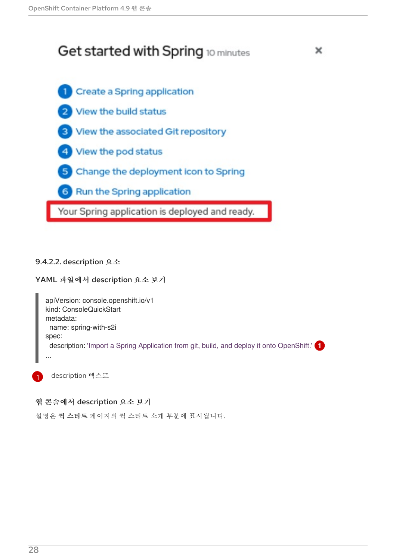# Get started with Spring 10 minutes

×



# <span id="page-31-0"></span>9.4.2.2. description 요소

YAML 파일에서 description 요소 보기

apiVersion: console.openshift.io/v1 kind: ConsoleQuickStart metadata: name: spring-with-s2i spec: description: 'Import a Spring Application from git, build, and deploy it onto OpenShift.' **1** ...

<span id="page-31-1"></span>description 텍스트

# 웹 콘솔에서 description 요소 보기

설명은 퀵 스타트 페이지의 퀵 스타트 소개 부분에 표시됩니다.

[1](#page-31-1)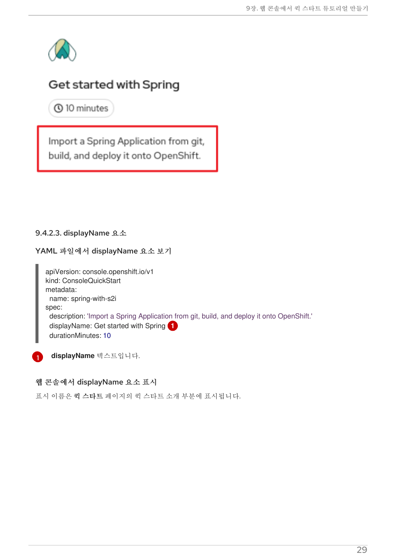

# Get started with Spring

**① 10 minutes** 

Import a Spring Application from git, build, and deploy it onto OpenShift.

<span id="page-32-0"></span>9.4.2.3. displayName 요소

YAML 파일에서 displayName 요소 보기

apiVersion: console.openshift.io/v1 kind: ConsoleQuickStart metadata: name: spring-with-s2i spec: description: 'Import a Spring Application from git, build, and deploy it onto OpenShift.' displayName: Get started with Spring **1** durationMinutes: 10

[1](#page-32-1)

<span id="page-32-1"></span>**displayName** 텍스트입니다.

웹 콘솔에서 displayName 요소 표시

표시 이름은 퀵 스타트 페이지의 퀵 스타트 소개 부분에 표시됩니다.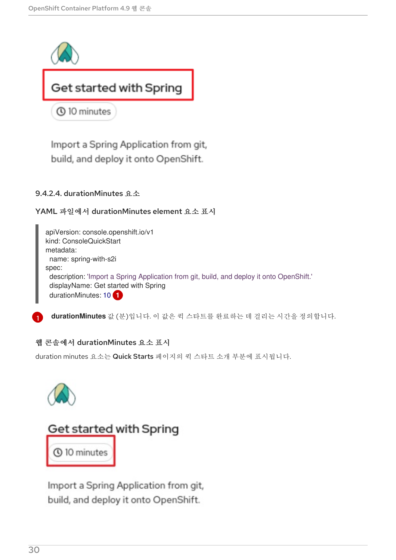

Import a Spring Application from git, build, and deploy it onto OpenShift.

# <span id="page-33-0"></span>9.4.2.4. durationMinutes 요소

YAML 파일에서 durationMinutes element 요소 표시



<span id="page-33-1"></span>**durationMinutes** 값 (분)입니다. 이 값은 퀵 스타트를 완료하는 데 걸리는 시간을 정의합니다.

# 웹 콘솔에서 durationMinutes 요소 표시

duration minutes 요소는 Quick Starts 페이지의 퀵 스타트 소개 부분에 표시됩니다.



[1](#page-33-1)

# Get started with Spring

**①** 10 minutes

Import a Spring Application from git, build, and deploy it onto OpenShift.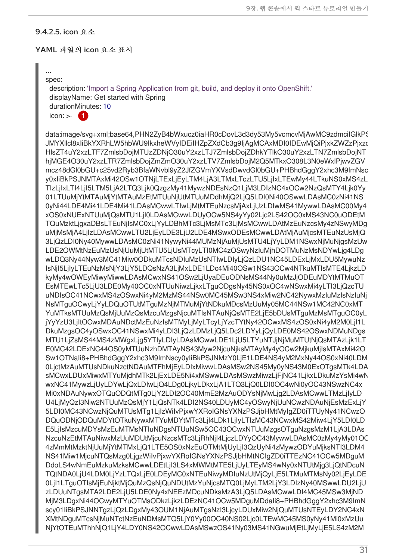#### <span id="page-34-0"></span>9.4.2.5. icon 요소

#### YAML 파일의 icon 요소 표시

```
...
spec:
```
description: 'Import a Spring Application from git, build, and deploy it onto OpenShift.' displayName: Get started with Spring durationMinutes: 10

<span id="page-34-1"></span>icon:  $\sim$  **1** 

data:image/svg+xml;base64,PHN2ZyB4bWxucz0iaHR0cDovL3d3dy53My5vcmcvMjAwMC9zdmciIGlkPS JMYXIIcl8xIiBkYXRhLW5hbWU9IkxheWVvIDEiIHZpZXdCb3q9IiAqMCAxMDI0IDEwMiQiPixkZWZzPixzc HlsZT4uY2xzLTF7ZmlsbDojMTUzZDNjO30uY2xzLTJ7ZmlsbDojZDhkYTlkO30uY2xzLTN7ZmlsbDojNT hjMGE4O30uY2xzLTR7ZmlsbDojZmZmO30uY2xzLTV7ZmlsbDojM2Q5MTkxO308L3N0eWxlPjwvZGV mcz48dGl0bGU+c25vd2Ryb3BfaWNvbl9yZ2JfZGVmYXVsdDwvdGl0bGU+PHBhdGggY2xhc3M9ImNsc y0xIiBkPSJNMTAxMi42OSw1OTNjLTExLjEyLTM4LjA3LTMxLTczLTU5LjIxLTEwMy44LTkuNS0xMS4zL TIzLjIxLTI4LjI5LTM5LjA2LTQ3Ljk0QzgzMy41MywzNDEsNzQ1LjM3LDIzNC4xOCw2NzQsMTY4Ljk0Yy 01LTUuMjYtMTAuMjYtMTAuMzEtMTUuNjUtMTUuMDdhMjQ2LjQ5LDI0Ni40OSwwLDAsMC0zNi41NS 0yNi44LDE4Mi41LDE4Mi41LDAsMCwwLTIwLjMtMTEuNzcsMjAxLjUzLDIwMS41MywwLDAsMC00My4 xOS0xNUExNTUuMjQsMTU1LjI0LDAsMCwwLDUyOCw5NS4yYy02Ljc2LS42OC0xMS43NC0uODEtM TQuMzktLjgxaDBsLTEuNjIsMC0xLjYyLDBhMTc3LjMsMTc3LjMsMCwwLDAtMzEuNzcsMy4zNSwyMDg uMjMsMjA4LjIzLDAsMCwwLTU2LjEyLDE3LjU2LDE4MSwxODEsMCwwLDAtMjAuMjcsMTEuNzUsMjQ 3LjQzLDI0Ny40MywwLDAsMC0zNi41NywyNi44MUMzNjAuMjUsMTU4LjYyLDM1NSwxNjMuNjgsMzUw LDE2OWMtNzEuMzUsNjUuMjUtMTU5LjUsMTcyLTI0MC4zOSwyNzIuMjhDOTMuNzMsNDYwLjg4LDg wLDQ3Ny44Nyw3MC41Miw0ODkuMTcsNDIuMzUsNTIwLDIyLjQzLDU1NC45LDExLjMxLDU5MywuNz IsNjI5LjIyLTEuNzMsNjY3LjY5LDQsNzA3LjMxLDE1LDc4Mi40OSw1NS43OCw4NTkuMTIsMTE4LjkzLD kyMy4wOWEyMiwyMiwwLDAsMCwxNS41OSw2LjUyaDEuODNsMS44Ny0uMzJjODEuMDYtMTMuOT EsMTEwLTc5LjU3LDE0My40OC0xNTUuNiwzLjkxLTguODgsNy45NS0xOC4wNSwxMi4yLTI3LjQzcTU uNDIsOC41NCwxMS4zOSwxNi4yM2MzMS44NSw0MC45MSw3NS4xMiw2NC42NywxMzIuMzIsNzIuNj NsMTguOCwyLjYyLDQuOTUtMTguMzNjMTMuMjYtNDkuMDcsMzUuMy05MC44NSw1MC42NC0xMT YuMTksMTUuMzQsMjUuMzQsMzcuMzgsNjcuMTIsNTAuNjQsMTE2LjE5bDUsMTguMzMsMTguOC0yL jYyYzU3LjItOCwxMDAuNDctMzEuNzIsMTMyLjMyLTcyLjYzcTYtNy42OCwxMS4zOS0xNi4yM2M0LjI1L DkuMzgsOC4yOSwxOC41NSwxMi4yLDI3LjQzLDMzLjQ5LDc2LDYyLjQyLDE0MS42OSwxNDMuNDgs MTU1LjZsMS44MS4zMWgxLjg5YTIyLDIyLDAsMCwwLDE1LjU5LTYuNTJjNjMuMTUtNjQsMTAzLjk1LT E0MC42LDExNC44OS0yMTUuNzhDMTAyNS43Myw2NjcuNjksMTAyMy4yOCw2MjkuMjIsMTAxMi42O Sw1OTNaIi8+PHBhdGggY2xhc3M9ImNscy0yIiBkPSJNMzY0LjE1LDE4NS4yM2MxNy44OS0xNi40LDM 0LjctMzAuMTUsNDkuNzctNDAuMTFhMjEyLDIxMiwwLDAsMSw2NS45My0yNS43M0ExOTgsMTk4LDA sMCwxLDUxMiwxMTYuMjdhMTk2LjExLDE5Ni4xMSwwLDAsMSwzMiwzLjFjNC41LjkxLDkuMzYsMi4wNi wxNC41MywzLjUyLDYwLjQxLDIwLjQ4LDg0LjkyLDkxLjA1LTQ3LjQ0LDI0OC4wNi0yOC43NSwzNC4x Mi0xNDAuNywxOTQuODQtMTg0LjY2LDI2OC40MmE2MzAuODYsNjMwLjg2LDAsMCwwLTMzLjIyLD U4LjMyQzI3Niw2NTUuMzQsMjY1LjQsNTk4LDI2NS40LDUyMC4yOSwyNjUuNCwzNDAuNjEsMzExLjY 5LDI0MC43NCwzNjQuMTUsMTg1LjIzWiIvPjxwYXRoIGNsYXNzPSJjbHMtMyIgZD0iTTUyNy41NCwzO DQuODNjODQuMDYtOTkuNywxMTYuMDYtMTc3LjI4LDk1LjIyLTIzMC43NCwxMS42Miw4LjY5LDI0LD E5LjIsMzcuMDYsMzEuMTMsNTIuNDgsNTUuNSw5OC43OCwxNTUuMzgsOTguNzgsMzM1LjA3LDAs NzcuNzEtMTAuNiwxMzUuMDUtMjcuNzcsMTc3LjRhNjI4LjczLDYyOC43MywwLDAsMC0zMy4yMy01OC 4zMmMtMzktNjUuMjYtMTMxLjQ1LTE5OS0xNzEuOTMtMjUyLjI3QzUyNi4zMywzODYuMjksNTI3LDM4 NS41Miw1MjcuNTQsMzg0LjgzWiIvPjxwYXRoIGNsYXNzPSJjbHMtNCIgZD0iTTEzNC41OCw5MDguM DdoLS4wNmEuMzkuMzksMCwwLDEtLjI3LS4xMWMtMTE5LjUyLTEyMS4wNy0xNTUtMjg3LjQtNDcuN TQtNDA0LjU4LDM0LjYzLTQxLjE0LDEyMC0xNTEuNiwyMDIuNzUtMjQyLjE5LTMuMTMsNy02LjEyLDE 0LjI1LTguOTIsMjEuNjktMjQuMzQsNjQuNDUtMzYuNjcsMTQ0LjMyLTM2LjY3LDIzNy40MSwwLDU2LjU zLDUuNTgsMTA2LDE2LjU5LDE0Ny4xNEEzMDcuNDksMzA3LjQ5LDAsMCwwLDI4MC45MSw3MjND MjM3LDgxNi44OCwyMTYuOTMsODkzLjkzLDEzNC41OCw5MDguMDdaIi8+PHBhdGggY2xhc3M9ImN scy01IiBkPSJNNTgzLjQzLDgxMy43OUM1NjAuMTgsNzI3LjcyLDUxMiw2NjQuMTUsNTEyLDY2NC4xN XMtNDguMTcsNjMuNTctNzEuNDMsMTQ5LjY0Yy00OC40NS02Ljc0LTEwMC45MS0yNy41Mi0xMzUu NjYtOTEuMThhNjQ1LjY4LDY0NS42OCwwLDAsMSwzOS41Ny03MS41NGwuMjEtLjMyLjE5LS4zM2M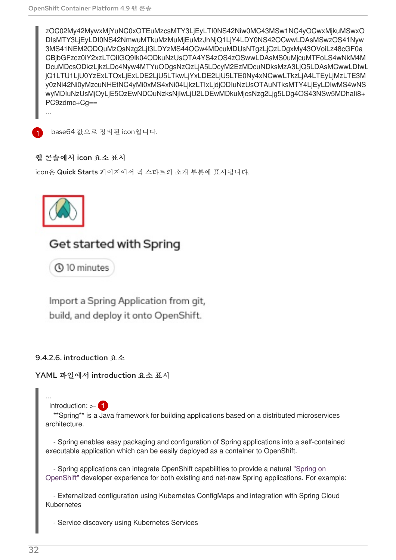zOC02My42MywxMjYuNC0xOTEuMzcsMTY3LjEyLTI0NS42Niw0MC43MSw1NC4yOCwxMjkuMSwxO DIsMTY3LjEyLDI0NS42NmwuMTkuMzMuMjEuMzJhNjQ1LjY4LDY0NS42OCwwLDAsMSwzOS41Nyw 3MS41NEM2ODQuMzQsNzg2LjI3LDYzMS44OCw4MDcuMDUsNTgzLjQzLDgxMy43OVoiLz48cGF0a CBjbGFzcz0iY2xzLTQiIGQ9Ik04ODkuNzUsOTA4YS4zOS4zOSwwLDAsMS0uMjcuMTFoLS4wNkM4M DcuMDcsODkzLjkzLDc4Nyw4MTYuODgsNzQzLjA5LDcyM2EzMDcuNDksMzA3LjQ5LDAsMCwwLDIwL jQ1LTU1LjU0YzExLTQxLjExLDE2LjU5LTkwLjYxLDE2LjU5LTE0Ny4xNCwwLTkzLjA4LTEyLjMzLTE3M y0zNi42Ni0yMzcuNHEtNC4yMi0xMS4xNi04LjkzLTIxLjdjODIuNzUsOTAuNTksMTY4LjEyLDIwMS4wNS wyMDIuNzUsMjQyLjE5QzEwNDQuNzksNjIwLjU2LDEwMDkuMjcsNzg2Ljg5LDg4OS43NSw5MDhali8+ PC9zdmc+Cg==

base64 값으로 정의된 icon입니다.

# 웹 콘솔에서 icon 요소 표시

icon은 Quick Starts 페이지에서 퀵 스타트의 소개 부분에 표시됩니다.



...

# Get started with Spring

**①** 10 minutes

Import a Spring Application from git, build, and deploy it onto OpenShift.

# <span id="page-35-0"></span>9.4.2.6. introduction 요소

# YAML 파일에서 introduction 요소 표시

<span id="page-35-1"></span>... introduction: >- **1**

\*\*Spring\*\* is a Java framework for building applications based on a distributed microservices architecture.

- Spring enables easy packaging and configuration of Spring applications into a self-contained executable application which can be easily deployed as a container to OpenShift.

- Spring applications can integrate OpenShift capabilities to provide a natural "Spring on OpenShift" developer experience for both existing and net-new Spring applications. For example:

- Externalized configuration using Kubernetes ConfigMaps and integration with Spring Cloud Kubernetes

- Service discovery using Kubernetes Services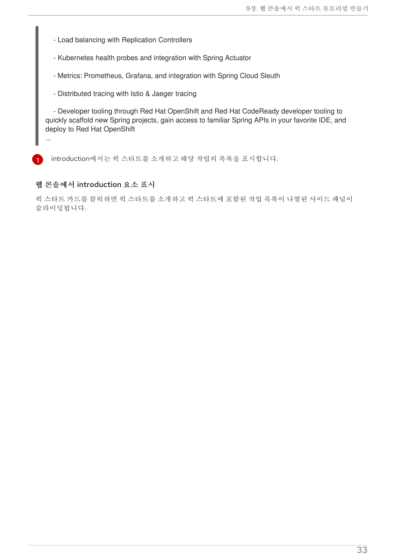- Load balancing with Replication Controllers
- Kubernetes health probes and integration with Spring Actuator
- Metrics: Prometheus, Grafana, and integration with Spring Cloud Sleuth
- Distributed tracing with Istio & Jaeger tracing

- Developer tooling through Red Hat OpenShift and Red Hat CodeReady developer tooling to quickly scaffold new Spring projects, gain access to familiar Spring APIs in your favorite IDE, and deploy to Red Hat OpenShift

introduction에서는 퀵 스타트를 소개하고 해당 작업의 목록을 표시합니다.

## 웹 콘솔에서 introduction 요소 표시

[1](#page-35-1)

...

퀵 스타트 카드를 클릭하면 퀵 스타트를 소개하고 퀵 스타트에 포함된 작업 목록이 나열된 사이드 패널이 슬라이딩됩니다.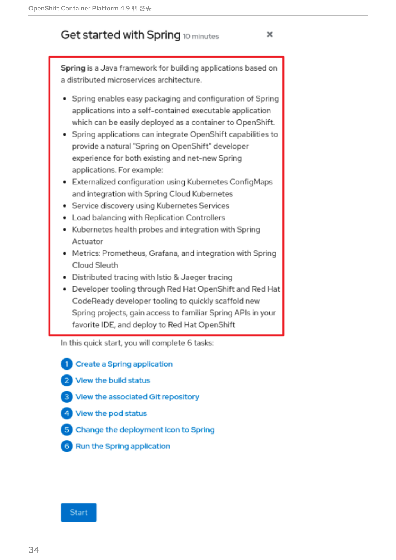# Get started with Spring 10 minutes

Spring is a Java framework for building applications based on a distributed microservices architecture.

- · Spring enables easy packaging and configuration of Spring applications into a self-contained executable application which can be easily deployed as a container to OpenShift.
- Spring applications can integrate OpenShift capabilities to provide a natural "Spring on OpenShift" developer experience for both existing and net-new Spring applications. For example:
- Externalized configuration using Kubernetes ConfigMaps and integration with Spring Cloud Kubernetes
- · Service discovery using Kubernetes Services
- Load balancing with Replication Controllers
- Kubernetes health probes and integration with Spring Actuator
- . Metrics: Prometheus, Grafana, and integration with Spring Cloud Sleuth
- . Distributed tracing with Istio & Jaeger tracing
- . Developer tooling through Red Hat OpenShift and Red Hat CodeReady developer tooling to quickly scaffold new Spring projects, gain access to familiar Spring APIs in your favorite IDE, and deploy to Red Hat OpenShift

In this quick start, you will complete 6 tasks:

Create a Spring application



- 3 View the associated Git repository
- 4 View the pod status
- 5 Change the deployment icon to Spring
- Run the Spring application

# **Start**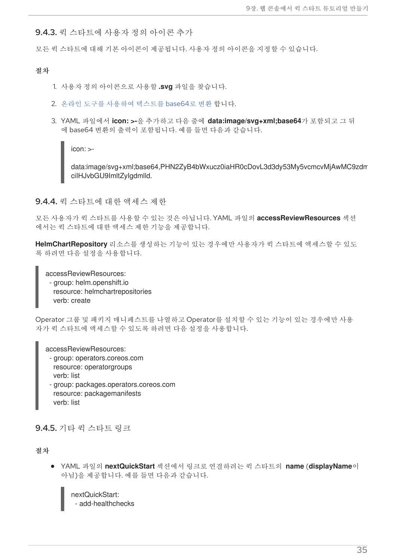<span id="page-38-0"></span>9.4.3. 퀵 스타트에 사용자 정의 아이콘 추가

모든 퀵 스타트에 대해 기본 아이콘이 제공됩니다. 사용자 정의 아이콘을 지정할 수 있습니다.

## 절차

- 1. 사용자 정의 아이콘으로 사용할 **.svg** 파일을 찾습니다.
- 2. 온라인 도구를 [사용하여](https://cryptii.com/pipes/text-to-base64) 텍스트를 base64로 변환 합니다.
- 3. YAML 파일에서 **icon: >-**을 추가하고 다음 줄에 **data:image/svg+xml;base64**가 포함되고 그 뒤 에 base64 변환의 출력이 포함됩니다. 예를 들면 다음과 같습니다.

icon: >-

data:image/svg+xml;base64,PHN2ZyB4bWxucz0iaHR0cDovL3d3dy53My5vcmcvMjAwMC9zdm ciIHJvbGU9ImltZyIgdmlld.

#### <span id="page-38-1"></span>9.4.4. 퀵 스타트에 대한 액세스 제한

모든 사용자가 퀵 스타트를 사용할 수 있는 것은 아닙니다. YAML 파일의 **accessReviewResources** 섹션 에서는 퀵 스타트에 대한 액세스 제한 기능을 제공합니다.

**HelmChartRepository** 리소스를 생성하는 기능이 있는 경우에만 사용자가 퀵 스타트에 액세스할 수 있도 록 하려면 다음 설정을 사용합니다.

accessReviewResources: - group: helm.openshift.io resource: helmchartrepositories verb: create

Operator 그룹 및 패키지 매니페스트를 나열하고 Operator를 설치할 수 있는 기능이 있는 경우에만 사용 자가 퀵 스타트에 액세스할 수 있도록 하려면 다음 설정을 사용합니다.

accessReviewResources:

- group: operators.coreos.com resource: operatorgroups verb: list
- group: packages.operators.coreos.com resource: packagemanifests verb: list

<span id="page-38-2"></span>9.4.5. 기타 퀵 스타트 링크

#### 절차

YAML 파일의 **nextQuickStart** 섹션에서 링크로 연결하려는 퀵 스타트의 **name** (**displayName**이 아님)을 제공합니다. 예를 들면 다음과 같습니다.

nextQuickStart: - add-healthchecks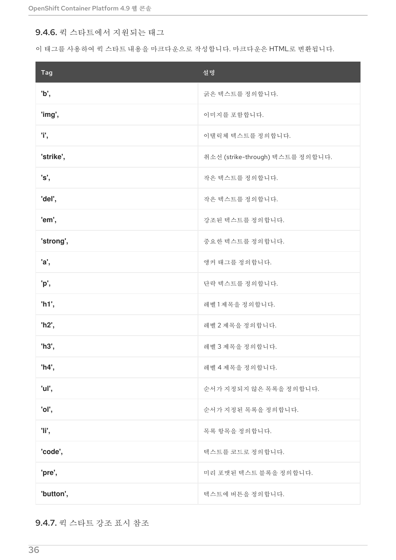# <span id="page-39-0"></span>9.4.6. 퀵 스타트에서 지원되는 태그

이 태그를 사용하여 퀵 스타트 내용을 마크다운으로 작성합니다. 마크다운은 HTML로 변환됩니다.

| Tag       | 설명                               |
|-----------|----------------------------------|
| 'b',      | 굵은 텍스트를 정의합니다.                   |
| 'img',    | 이미지를 포함합니다.                      |
| Ϊ,        | 이탤릭체 텍스트를 정의합니다.                 |
| 'strike', | 취소선 (strike-through) 텍스트를 정의합니다. |
| 's',      | 작은 텍스트를 정의합니다.                   |
| 'del',    | 작은 텍스트를 정의합니다.                   |
| 'em',     | 강조된 텍스트를 정의합니다.                  |
| 'strong', | 중요한 텍스트를 정의합니다.                  |
| 'a',      | 앵커 태그를 정의합니다.                    |
| 'p',      | 단락 텍스트를 정의합니다.                   |
| 'h1',     | 레벨 1 제목을 정의합니다.                  |
| 'h2',     | 레벨 2 제목을 정의합니다.                  |
| 'h3',     | 레벨 3 제목을 정의합니다.                  |
| 'h4',     | 레벨 4 제목을 정의합니다.                  |
| 'ul',     | 순서가 지정되지 않은 목록을 정의합니다.           |
| 'ol',     | 순서가 지정된 목록을 정의합니다.               |
| 'li',     | 목록 항목을 정의합니다.                    |
| 'code',   | 텍스트를 코드로 정의합니다.                  |
| 'pre',    | 미리 포맷된 텍스트 블록을 정의합니다.            |
| 'button', | 텍스트에 버튼을 정의합니다.                  |

<span id="page-39-1"></span>9.4.7. 퀵 스타트 강조 표시 참조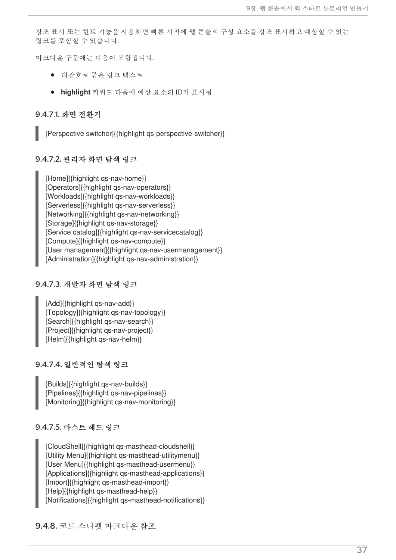강조 표시 또는 힌트 기능을 사용하면 빠른 시작에 웹 콘솔의 구성 요소를 강조 표시하고 예상할 수 있는 링크를 포함할 수 있습니다.

마크다운 구문에는 다음이 포함됩니다.

- 대괄호로 묶은 링크 텍스트
- **highlight** 키워드 다음에 예상 요소의 ID가 표시됨

#### <span id="page-40-0"></span>9.4.7.1. 화면 전환기

[Perspective switcher]{{highlight qs-perspective-switcher}}

## <span id="page-40-1"></span>9.4.7.2. 관리자 화면 탐색 링크

[Home]{{highlight qs-nav-home}} [Operators]{{highlight qs-nav-operators}} [Workloads]{{highlight qs-nav-workloads}} [Serverless]{{highlight qs-nav-serverless}} [Networking]{{highlight qs-nav-networking}} [Storage]{{highlight qs-nav-storage}} [Service catalog]{{highlight qs-nav-servicecatalog}} [Compute]{{highlight qs-nav-compute}} [User management]{{highlight qs-nav-usermanagement}} [Administration]{{highlight qs-nav-administration}}

## <span id="page-40-2"></span>9.4.7.3. 개발자 화면 탐색 링크

[Add]{{highlight qs-nav-add}} [Topology]{{highlight qs-nav-topology}} [Search]{{highlight qs-nav-search}} [Project]{{highlight qs-nav-project}} [Helm]{{highlight qs-nav-helm}}

## <span id="page-40-3"></span>9.4.7.4. 일반적인 탐색 링크

[Builds]{{highlight qs-nav-builds}} [Pipelines]{{highlight qs-nav-pipelines}} [Monitoring]{{highlight qs-nav-monitoring}}

## <span id="page-40-4"></span>9.4.7.5. 마스트 헤드 링크

[CloudShell]{{highlight qs-masthead-cloudshell}} [Utility Menu]{{highlight qs-masthead-utilitymenu}} [User Menu]{{highlight qs-masthead-usermenu}} [Applications]{{highlight qs-masthead-applications}} [Import]{{highlight qs-masthead-import}} [Help]{{highlight qs-masthead-help}} [Notifications]{{highlight qs-masthead-notifications}}

# <span id="page-40-5"></span>9.4.8. 코드 스니펫 마크다운 참조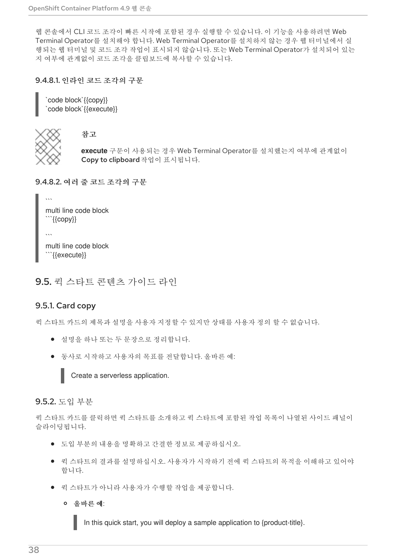웹 콘솔에서 CLI 코드 조각이 빠른 시작에 포함된 경우 실행할 수 있습니다. 이 기능을 사용하려면 Web Terminal Operator를 설치해야 합니다. Web Terminal Operator를 설치하지 않는 경우 웹 터미널에서 실 행되는 웹 터미널 및 코드 조각 작업이 표시되지 않습니다. 또는 Web Terminal Operator가 설치되어 있는 지 여부에 관계없이 코드 조각을 클립보드에 복사할 수 있습니다.

# <span id="page-41-0"></span>9.4.8.1. 인라인 코드 조각의 구문

`code block`{{copy}} `code block`{{execute}}



참고

**execute** 구문이 사용되는 경우 Web Terminal Operator를 설치했는지 여부에 관계없이 Copy to clipboard작업이 표시됩니다.

# <span id="page-41-1"></span>9.4.8.2. 여러 줄 코드 조각의 구문

| multi line code block<br>$``\{copy\}$   |
|-----------------------------------------|
|                                         |
| multi line code block<br>```{{execute}} |

# <span id="page-41-2"></span>9.5. 퀵 스타트 콘텐츠 가이드 라인

# <span id="page-41-3"></span>9.5.1. Card copy

퀵 스타트 카드의 제목과 설명을 사용자 지정할 수 있지만 상태를 사용자 정의 할 수 없습니다.

- 설명을 하나 또는 두 문장으로 정리합니다.
- 동사로 시작하고 사용자의 목표를 전달합니다. 올바른 예:



Create a serverless application.

# <span id="page-41-4"></span>9.5.2. 도입 부분

퀵 스타트 카드를 클릭하면 퀵 스타트를 소개하고 퀵 스타트에 포함된 작업 목록이 나열된 사이드 패널이 슬라이딩됩니다.

- 도입 부분의 내용을 명확하고 간결한 정보로 제공하십시오.
- 퀵 스타트의 결과를 설명하십시오. 사용자가 시작하기 전에 퀵 스타트의 목적을 이해하고 있어야 합니다.
- 퀵 스타트가 아니라 사용자가 수행할 작업을 제공합니다.
	- 올바른 예:

In this quick start, you will deploy a sample application to {product-title}.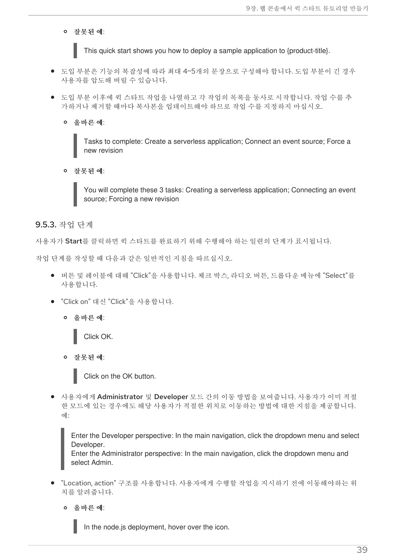잘못된 예:

This quick start shows you how to deploy a sample application to {product-title}.

- 도입 부분은 기능의 복잡성에 따라 최대 4~5개의 문장으로 구성해야 합니다. 도입 부분이 긴 경우 사용자를 압도해 버릴 수 있습니다.
- 도입 부분 이후에 퀵 스타트 작업을 나열하고 각 작업의 목록을 동사로 시작합니다. 작업 수를 추 가하거나 제거할 때마다 복사본을 업데이트해야 하므로 작업 수를 지정하지 마십시오.

올바른 예:

Tasks to complete: Create a serverless application; Connect an event source; Force a new revision

잘못된 예:

You will complete these 3 tasks: Creating a serverless application; Connecting an event source; Forcing a new revision

#### <span id="page-42-0"></span>9.5.3. 작업 단계

사용자가 Start를 클릭하면 퀵 스타트를 완료하기 위해 수행해야 하는 일련의 단계가 표시됩니다.

작업 단계를 작성할 때 다음과 같은 일반적인 지침을 따르십시오.

- 버튼 및 레이블에 대해 "Click"을 사용합니다. 체크 박스, 라디오 버튼, 드롭다운 메뉴에 "Select"를 사용합니다.
- "Click on" 대신 "Click"을 사용합니다.
	- 올바른 예:

Click OK.

잘못된 예:

Click on the OK button.

● 사용자에게 Administrator 및 Developer 모드 간의 이동 방법을 보여줍니다. 사용자가 이미 적절 한 모드에 있는 경우에도 해당 사용자가 적절한 위치로 이동하는 방법에 대한 지침을 제공합니다. 예:

Enter the Developer perspective: In the main navigation, click the dropdown menu and select Developer.

Enter the Administrator perspective: In the main navigation, click the dropdown menu and select Admin.

- "Location, action" 구조를 사용합니다. 사용자에게 수행할 작업을 지시하기 전에 이동해야하는 위 치를 알려줍니다.
	- 올바른 예:

In the node.js deployment, hover over the icon.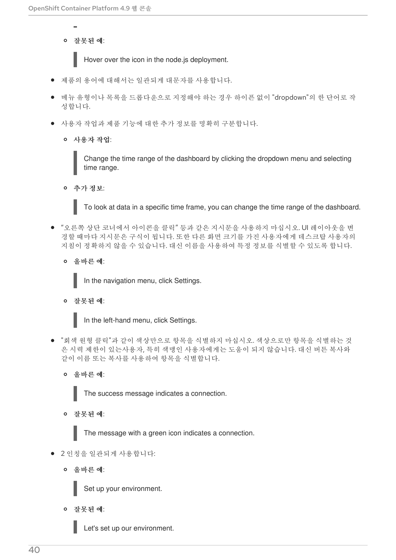잘못된 예:

Hover over the icon in the node.js deployment.

- 제품의 용어에 대해서는 일관되게 대문자를 사용합니다.
- 메뉴 유형이나 목록을 드롭다운으로 지정해야 하는 경우 하이픈 없이 "dropdown"의 한 단어로 작 성합니다.
- 사용자 작업과 제품 기능에 대한 추가 정보를 명확히 구분합니다.
	- 사용자 작업:

Change the time range of the dashboard by clicking the dropdown menu and selecting time range.

추가 정보:

To look at data in a specific time frame, you can change the time range of the dashboard.

- "오른쪽 상단 코너에서 아이콘을 클릭" 등과 같은 지시문을 사용하지 마십시오. UI 레이아웃을 변 경할 때마다 지시문은 구식이 됩니다. 또한 다른 화면 크기를 가진 사용자에게 데스크탑 사용자의 지침이 정확하지 않을 수 있습니다. 대신 이름을 사용하여 특정 정보를 식별할 수 있도록 합니다.
	- 올바른 예:

In the navigation menu, click Settings.

잘못된 예:

In the left-hand menu, click Settings.

- "회색 원형 클릭"과 같이 색상만으로 항목을 식별하지 마십시오. 색상으로만 항목을 식별하는 것 은 시력 제한이 있는사용자, 특히 색맹인 사용자에게는 도움이 되지 않습니다. 대신 버튼 복사와 같이 이름 또는 복사를 사용하여 항목을 식별합니다.
	- 올바른 예:

The success message indicates a connection.

잘못된 예:

The message with a green icon indicates a connection.

- 2 인칭을 일관되게 사용합니다:
	- 올바른 예:

Set up your environment.

잘못된 예:

Let's set up our environment.